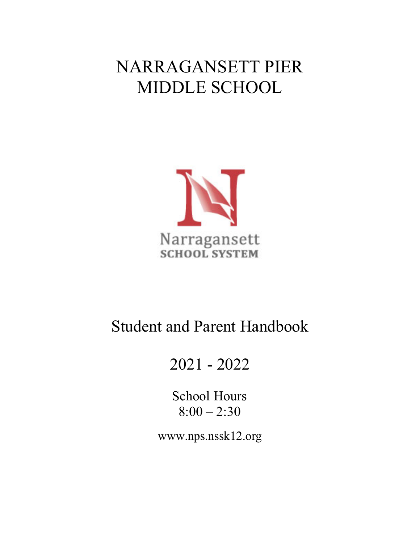# NARRAGANSETT PIER MIDDLE SCHOOL



# Student and Parent Handbook

# 2021 - 2022

School Hours  $8:00 - 2:30$ 

www.nps.nssk12.org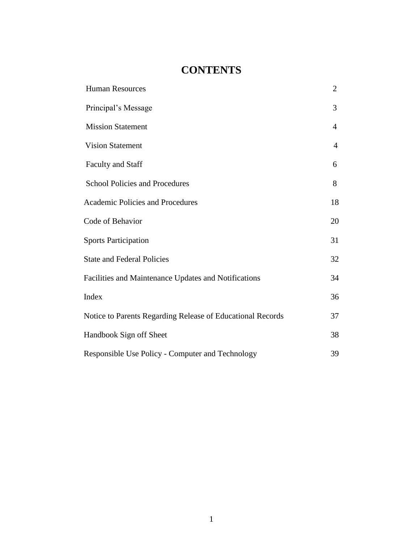# **CONTENTS**

| <b>Human Resources</b>                                     | $\overline{2}$ |
|------------------------------------------------------------|----------------|
| Principal's Message                                        | 3              |
| <b>Mission Statement</b>                                   | $\overline{4}$ |
| <b>Vision Statement</b>                                    | $\overline{4}$ |
| <b>Faculty and Staff</b>                                   | 6              |
| <b>School Policies and Procedures</b>                      | 8              |
| Academic Policies and Procedures                           | 18             |
| Code of Behavior                                           | 20             |
| <b>Sports Participation</b>                                | 31             |
| <b>State and Federal Policies</b>                          | 32             |
| Facilities and Maintenance Updates and Notifications       | 34             |
| Index                                                      | 36             |
| Notice to Parents Regarding Release of Educational Records | 37             |
| Handbook Sign off Sheet                                    | 38             |
| Responsible Use Policy - Computer and Technology           | 39             |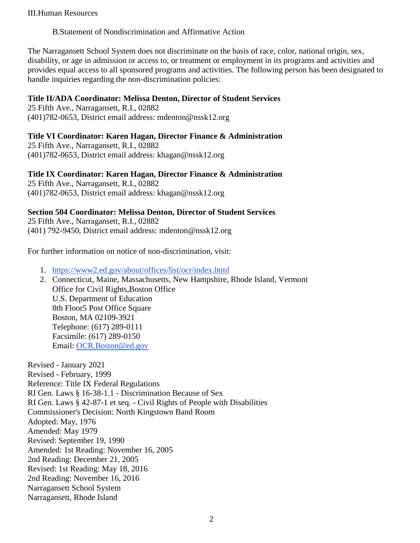#### III.Human Resources

#### B.Statement of Nondiscrimination and Affirmative Action

The Narragansett School System does not discriminate on the basis of race, color, national origin, sex, disability, or age in admission or access to, or treatment or employment in its programs and activities and provides equal access to all sponsored programs and activities. The following person has been designated to handle inquiries regarding the non-discrimination policies:

#### **Title II/ADA Coordinator: Melissa Denton, Director of Student Services**

25 Fifth Ave., Narragansett, R.I., 02882 (401)782-0653, District email address: mdenton@nssk12.org

### **Title VI Coordinator: Karen Hagan, Director Finance & Administration**

25 Fifth Ave., Narragansett, R.I., 02882 (401)782-0653, District email address: khagan@nssk12.org

#### **Title IX Coordinator: Karen Hagan, Director Finance & Administration**

25 Fifth Ave., Narragansett, R.I., 02882 (401)782-0653, District email address: khagan@nssk12.org

#### **Section 504 Coordinator: Melissa Denton, Director of Student Services**

25 Fifth Ave., Narragansett, R.I., 02882 (401) 792-9450, District email address: mdenton@nssk12.org

For further information on notice of non-discrimination, visit:

- 1. <https://www2.ed.gov/about/offices/list/ocr/index.html>
- 2. Connecticut, Maine, Massachusetts, New Hampshire, Rhode Island, Vermont Office for Civil Rights,Boston Office U.S. Department of Education 8th Floor5 Post Office Square Boston, MA 02109-3921 Telephone: (617) 289-0111 Facsimile: (617) 289-0150 Email: [OCR.Boston@ed.gov](mailto:OCR.Boston@ed.gov)

Revised - January 2021 Revised - February, 1999 Reference: Title IX Federal Regulations RI Gen. Laws § 16-38-1.1 - Discrimination Because of Sex RI Gen. Laws § 42-87-1 et seq. - Civil Rights of People with Disabilities Commissioner's Decision: North Kingstown Band Room Adopted: May, 1976 Amended: May 1979 Revised: September 19, 1990 Amended: 1st Reading: November 16, 2005 2nd Reading: December 21, 2005 Revised: 1st Reading: May 18, 2016 2nd Reading: November 16, 2016 Narragansett School System Narragansett, Rhode Island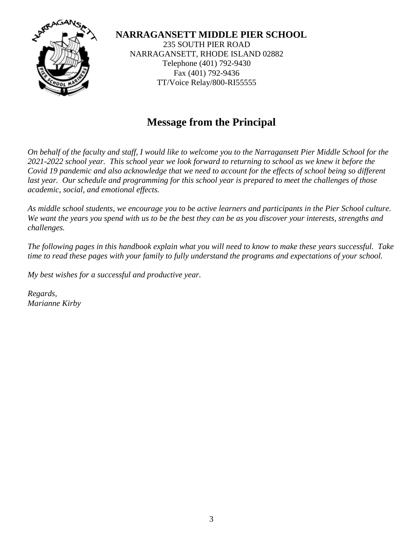

**NARRAGANSETT MIDDLE PIER SCHOOL**  235 SOUTH PIER ROAD NARRAGANSETT, RHODE ISLAND 02882 Telephone (401) 792-9430 Fax (401) 792-9436 TT/Voice Relay/800-RI55555

# **Message from the Principal**

*On behalf of the faculty and staff, I would like to welcome you to the Narragansett Pier Middle School for the 2021-2022 school year. This school year we look forward to returning to school as we knew it before the Covid 19 pandemic and also acknowledge that we need to account for the effects of school being so different*  last year. Our schedule and programming for this school year is prepared to meet the challenges of those *academic, social, and emotional effects.* 

*As middle school students, we encourage you to be active learners and participants in the Pier School culture. We want the years you spend with us to be the best they can be as you discover your interests, strengths and challenges.* 

*The following pages in this handbook explain what you will need to know to make these years successful. Take time to read these pages with your family to fully understand the programs and expectations of your school.* 

*My best wishes for a successful and productive year.*

*Regards, Marianne Kirby*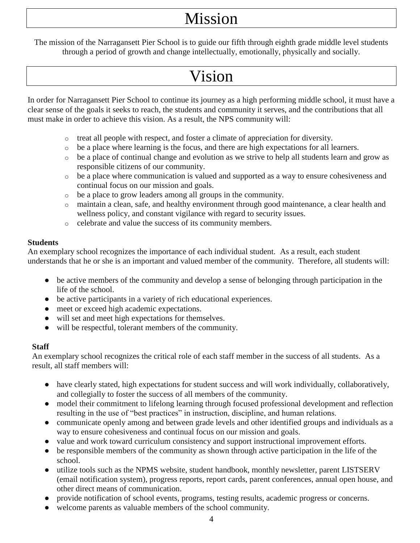# Mission

The mission of the Narragansett Pier School is to guide our fifth through eighth grade middle level students through a period of growth and change intellectually, emotionally, physically and socially.

# Vision

In order for Narragansett Pier School to continue its journey as a high performing middle school, it must have a clear sense of the goals it seeks to reach, the students and community it serves, and the contributions that all must make in order to achieve this vision. As a result, the NPS community will:

- o treat all people with respect, and foster a climate of appreciation for diversity.
- o be a place where learning is the focus, and there are high expectations for all learners.
- o be a place of continual change and evolution as we strive to help all students learn and grow as responsible citizens of our community.
- o be a place where communication is valued and supported as a way to ensure cohesiveness and continual focus on our mission and goals.
- o be a place to grow leaders among all groups in the community.
- o maintain a clean, safe, and healthy environment through good maintenance, a clear health and wellness policy, and constant vigilance with regard to security issues.
- o celebrate and value the success of its community members.

# **Students**

An exemplary school recognizes the importance of each individual student. As a result, each student understands that he or she is an important and valued member of the community. Therefore, all students will:

- be active members of the community and develop a sense of belonging through participation in the life of the school.
- be active participants in a variety of rich educational experiences.
- meet or exceed high academic expectations.
- will set and meet high expectations for themselves.
- will be respectful, tolerant members of the community.

# **Staff**

An exemplary school recognizes the critical role of each staff member in the success of all students. As a result, all staff members will:

- have clearly stated, high expectations for student success and will work individually, collaboratively, and collegially to foster the success of all members of the community.
- model their commitment to lifelong learning through focused professional development and reflection resulting in the use of "best practices" in instruction, discipline, and human relations.
- communicate openly among and between grade levels and other identified groups and individuals as a way to ensure cohesiveness and continual focus on our mission and goals.
- value and work toward curriculum consistency and support instructional improvement efforts.
- be responsible members of the community as shown through active participation in the life of the school.
- utilize tools such as the NPMS website, student handbook, monthly newsletter, parent LISTSERV (email notification system), progress reports, report cards, parent conferences, annual open house, and other direct means of communication.
- provide notification of school events, programs, testing results, academic progress or concerns.
- welcome parents as valuable members of the school community.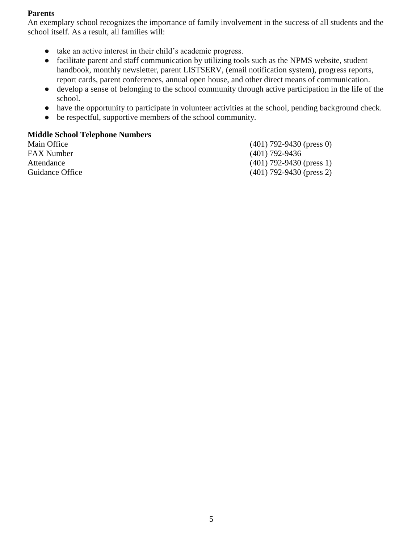### **Parents**

An exemplary school recognizes the importance of family involvement in the success of all students and the school itself. As a result, all families will:

- take an active interest in their child's academic progress.
- facilitate parent and staff communication by utilizing tools such as the NPMS website, student handbook, monthly newsletter, parent LISTSERV, (email notification system), progress reports, report cards, parent conferences, annual open house, and other direct means of communication.
- develop a sense of belonging to the school community through active participation in the life of the school.
- have the opportunity to participate in volunteer activities at the school, pending background check.
- be respectful, supportive members of the school community.

### **Middle School Telephone Numbers**

FAX Number (401) 792-9436

Main Office (401) 792-9430 (press 0) Attendance (401) 792-9430 (press 1) Guidance Office (401) 792-9430 (press 2)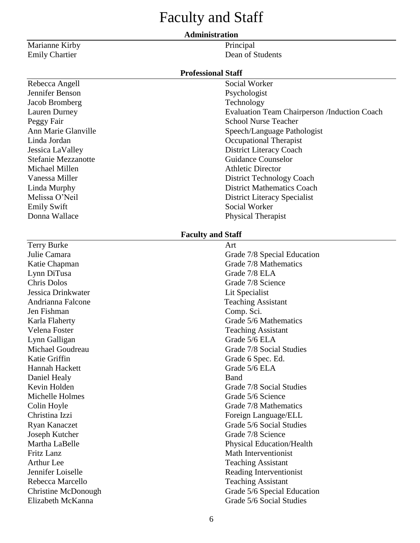# Faculty and Staff

#### **Administration**

Marianne Kirby Principal Emily Chartier Dean of Students

Rebecca Angell Social Worker Jennifer Benson Psychologist Jacob Bromberg Technology Michael Millen **Athletic Director** Athletic Director Emily Swift Social Worker

Terry Burke Art Lynn DiTusa Grade 7/8 ELA Jessica Drinkwater Lit Specialist Jen Fishman Comp. Sci. Lynn Galligan Grade 5/6 ELA Katie Griffin Grade 6 Spec. Ed. Hannah Hackett Grade 5/6 ELA Daniel Healy Band

#### **Professional Staff**

Lauren Durney Evaluation Team Chairperson /Induction Coach Peggy Fair School Nurse Teacher Ann Marie Glanville Speech/Language Pathologist Linda Jordan Occupational Therapist Jessica LaValley District Literacy Coach Stefanie Mezzanotte Guidance Counselor Vanessa Miller District Technology Coach Linda Murphy District Mathematics Coach Melissa O'Neil District Literacy Specialist Donna Wallace Physical Therapist

#### **Faculty and Staff**

Julie Camara Grade 7/8 Special Education Katie Chapman Grade 7/8 Mathematics Chris Dolos Grade 7/8 Science Andrianna Falcone Teaching Assistant Karla Flaherty Grade 5/6 Mathematics Velena Foster Teaching Assistant Michael Goudreau Grade 7/8 Social Studies Kevin Holden Grade 7/8 Social Studies Michelle Holmes **Grade** 5/6 Science Colin Hoyle Grade 7/8 Mathematics Christina Izzi Foreign Language/ELL Ryan Kanaczet Grade 5/6 Social Studies Joseph Kutcher Grade 7/8 Science Martha LaBelle Physical Education/Health Fritz Lanz Math Interventionist Arthur Lee Teaching Assistant Jennifer Loiselle Reading Interventionist Rebecca Marcello **Teaching Assistant** Christine McDonough Grade 5/6 Special Education Elizabeth McKanna Grade 5/6 Social Studies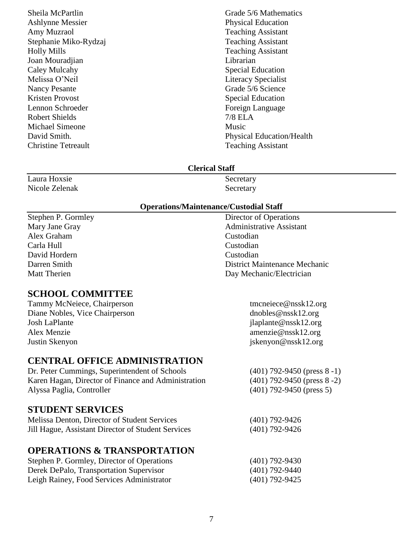Ashlynne Messier Physical Education Amy Muzraol Teaching Assistant Stephanie Miko-Rydzaj Teaching Assistant Holly Mills Teaching Assistant Joan Mouradjian Librarian Caley Mulcahy Special Education Melissa O'Neil **Literacy** Specialist Nancy Pesante Grade 5/6 Science Kristen Provost Special Education Lennon Schroeder Foreign Language Robert Shields 7/8 ELA Michael Simeone Music Christine Tetreault Teaching Assistant

Sheila McPartlin Grade 5/6 Mathematics David Smith. Physical Education/Health

#### **Clerical Staff**

| Laura Hoxsie   | Secretary |
|----------------|-----------|
| Nicole Zelenak | Secretary |

#### **Operations/Maintenance/Custodial Staff**

Stephen P. Gormley Director of Operations Alex Graham Custodian Carla Hull Custodian David Hordern Custodian

# **SCHOOL COMMITTEE**

Tammy McNeiece, Chairperson tmcneiece@nssk12.org Diane Nobles, Vice Chairperson dnobles@nssk12.org Josh LaPlante jlaplante@nssk12.org Alex Menzie amenzie@nssk12.org Justin Skenyon jskenyon@nssk12.org

# **CENTRAL OFFICE ADMINISTRATION**

Dr. Peter Cummings, Superintendent of Schools (401) Karen Hagan, Director of Finance and Administration (401) Alyssa Paglia, Controller (401) 792-9450 (press 5)

# **STUDENT SERVICES**

| Melissa Denton, Director of Student Services       | $(401)$ 792-9426 |
|----------------------------------------------------|------------------|
| Jill Hague, Assistant Director of Student Services | $(401)$ 792-9426 |

# **OPERATIONS & TRANSPORTATION**

| Stephen P. Gormley, Director of Operations | $(401)$ 792-9430 |
|--------------------------------------------|------------------|
| Derek DePalo, Transportation Supervisor    | $(401)$ 792-9440 |
| Leigh Rainey, Food Services Administrator  | $(401)$ 792-9425 |

Mary Jane Gray **Administrative Assistant** Darren Smith District Maintenance Mechanic Matt Therien Day Mechanic/Electrician

| $(401)$ 792-9450 (press 8 -1) |  |
|-------------------------------|--|
| $(401)$ 792-9450 (press 8 -2) |  |
| $(101)$ 702.0150 $(20005)$    |  |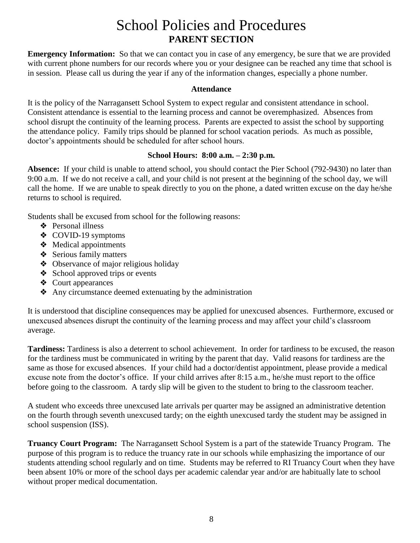# School Policies and Procedures **PARENT SECTION**

**Emergency Information:** So that we can contact you in case of any emergency, be sure that we are provided with current phone numbers for our records where you or your designee can be reached any time that school is in session. Please call us during the year if any of the information changes, especially a phone number.

#### **Attendance**

It is the policy of the Narragansett School System to expect regular and consistent attendance in school. Consistent attendance is essential to the learning process and cannot be overemphasized. Absences from school disrupt the continuity of the learning process. Parents are expected to assist the school by supporting the attendance policy. Family trips should be planned for school vacation periods. As much as possible, doctor's appointments should be scheduled for after school hours.

#### **School Hours: 8:00 a.m. – 2:30 p.m.**

**Absence:** If your child is unable to attend school, you should contact the Pier School (792-9430) no later than 9:00 a.m. If we do not receive a call, and your child is not present at the beginning of the school day, we will call the home. If we are unable to speak directly to you on the phone, a dated written excuse on the day he/she returns to school is required.

Students shall be excused from school for the following reasons:

- ❖ Personal illness
- ❖ COVID-19 symptoms
- ❖ Medical appointments
- ❖ Serious family matters
- ❖ Observance of major religious holiday
- ❖ School approved trips or events
- ❖ Court appearances
- ❖ Any circumstance deemed extenuating by the administration

It is understood that discipline consequences may be applied for unexcused absences. Furthermore, excused or unexcused absences disrupt the continuity of the learning process and may affect your child's classroom average.

**Tardiness:** Tardiness is also a deterrent to school achievement. In order for tardiness to be excused, the reason for the tardiness must be communicated in writing by the parent that day. Valid reasons for tardiness are the same as those for excused absences. If your child had a doctor/dentist appointment, please provide a medical excuse note from the doctor's office. If your child arrives after 8:15 a.m., he/she must report to the office before going to the classroom. A tardy slip will be given to the student to bring to the classroom teacher.

A student who exceeds three unexcused late arrivals per quarter may be assigned an administrative detention on the fourth through seventh unexcused tardy; on the eighth unexcused tardy the student may be assigned in school suspension (ISS).

**Truancy Court Program:** The Narragansett School System is a part of the statewide Truancy Program. The purpose of this program is to reduce the truancy rate in our schools while emphasizing the importance of our students attending school regularly and on time. Students may be referred to RI Truancy Court when they have been absent 10% or more of the school days per academic calendar year and/or are habitually late to school without proper medical documentation.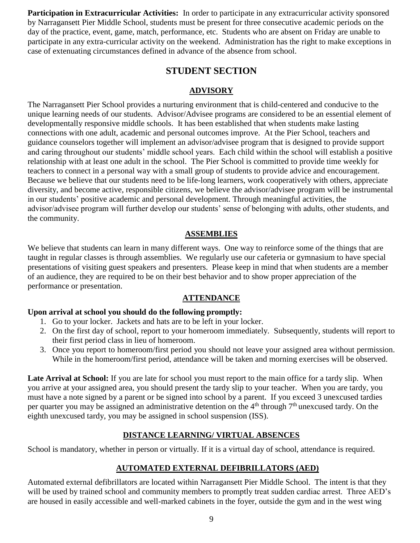**Participation in Extracurricular Activities:** In order to participate in any extracurricular activity sponsored by Narragansett Pier Middle School, students must be present for three consecutive academic periods on the day of the practice, event, game, match, performance, etc. Students who are absent on Friday are unable to participate in any extra-curricular activity on the weekend. Administration has the right to make exceptions in case of extenuating circumstances defined in advance of the absence from school.

# **STUDENT SECTION**

# **ADVISORY**

The Narragansett Pier School provides a nurturing environment that is child-centered and conducive to the unique learning needs of our students. Advisor/Advisee programs are considered to be an essential element of developmentally responsive middle schools. It has been established that when students make lasting connections with one adult, academic and personal outcomes improve. At the Pier School, teachers and guidance counselors together will implement an advisor/advisee program that is designed to provide support and caring throughout our students' middle school years. Each child within the school will establish a positive relationship with at least one adult in the school. The Pier School is committed to provide time weekly for teachers to connect in a personal way with a small group of students to provide advice and encouragement. Because we believe that our students need to be life-long learners, work cooperatively with others, appreciate diversity, and become active, responsible citizens, we believe the advisor/advisee program will be instrumental in our students' positive academic and personal development. Through meaningful activities, the advisor/advisee program will further develop our students' sense of belonging with adults, other students, and the community.

# **ASSEMBLIES**

We believe that students can learn in many different ways. One way to reinforce some of the things that are taught in regular classes is through assemblies. We regularly use our cafeteria or gymnasium to have special presentations of visiting guest speakers and presenters. Please keep in mind that when students are a member of an audience, they are required to be on their best behavior and to show proper appreciation of the performance or presentation.

### **ATTENDANCE**

### **Upon arrival at school you should do the following promptly:**

- 1. Go to your locker. Jackets and hats are to be left in your locker.
- 2. On the first day of school, report to your homeroom immediately. Subsequently, students will report to their first period class in lieu of homeroom.
- 3. Once you report to homeroom/first period you should not leave your assigned area without permission. While in the homeroom/first period, attendance will be taken and morning exercises will be observed.

**Late Arrival at School:** If you are late for school you must report to the main office for a tardy slip. When you arrive at your assigned area, you should present the tardy slip to your teacher. When you are tardy, you must have a note signed by a parent or be signed into school by a parent. If you exceed 3 unexcused tardies per quarter you may be assigned an administrative detention on the  $4<sup>th</sup>$  through  $7<sup>th</sup>$  unexcused tardy. On the eighth unexcused tardy, you may be assigned in school suspension (ISS).

# **DISTANCE LEARNING/ VIRTUAL ABSENCES**

School is mandatory, whether in person or virtually. If it is a virtual day of school, attendance is required.

# **AUTOMATED EXTERNAL DEFIBRILLATORS (AED)**

Automated external defibrillators are located within Narragansett Pier Middle School. The intent is that they will be used by trained school and community members to promptly treat sudden cardiac arrest. Three AED's are housed in easily accessible and well-marked cabinets in the foyer, outside the gym and in the west wing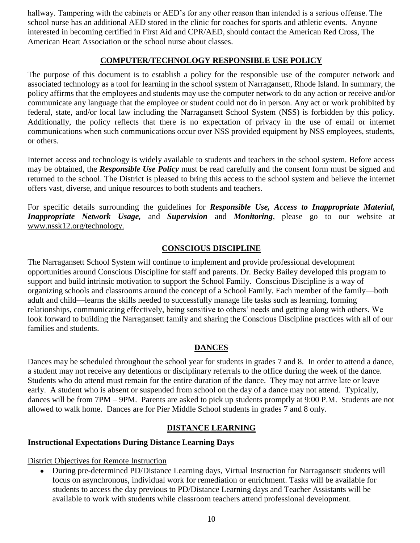hallway. Tampering with the cabinets or AED's for any other reason than intended is a serious offense. The school nurse has an additional AED stored in the clinic for coaches for sports and athletic events. Anyone interested in becoming certified in First Aid and CPR/AED, should contact the American Red Cross, The American Heart Association or the school nurse about classes.

### **COMPUTER/TECHNOLOGY RESPONSIBLE USE POLICY**

The purpose of this document is to establish a policy for the responsible use of the computer network and associated technology as a tool for learning in the school system of Narragansett, Rhode Island. In summary, the policy affirms that the employees and students may use the computer network to do any action or receive and/or communicate any language that the employee or student could not do in person. Any act or work prohibited by federal, state, and/or local law including the Narragansett School System (NSS) is forbidden by this policy. Additionally, the policy reflects that there is no expectation of privacy in the use of email or internet communications when such communications occur over NSS provided equipment by NSS employees, students, or others.

Internet access and technology is widely available to students and teachers in the school system. Before access may be obtained, the *Responsible Use Policy* must be read carefully and the consent form must be signed and returned to the school. The District is pleased to bring this access to the school system and believe the internet offers vast, diverse, and unique resources to both students and teachers.

For specific details surrounding the guidelines for *Responsible Use, Access to Inappropriate Material, Inappropriate Network Usage,* and *Supervision* and *Monitoring*, please go to our website at www.nssk12.org/technology.

# **CONSCIOUS DISCIPLINE**

The Narragansett School System will continue to implement and provide professional development opportunities around Conscious Discipline for staff and parents. Dr. Becky Bailey developed this program to support and build intrinsic motivation to support the School Family. Conscious Discipline is a way of organizing schools and classrooms around the concept of a School Family. Each member of the family—both adult and child—learns the skills needed to successfully manage life tasks such as learning, forming relationships, communicating effectively, being sensitive to others' needs and getting along with others. We look forward to building the Narragansett family and sharing the Conscious Discipline practices with all of our families and students.

# **DANCES**

Dances may be scheduled throughout the school year for students in grades 7 and 8. In order to attend a dance, a student may not receive any detentions or disciplinary referrals to the office during the week of the dance. Students who do attend must remain for the entire duration of the dance. They may not arrive late or leave early. A student who is absent or suspended from school on the day of a dance may not attend. Typically, dances will be from 7PM – 9PM. Parents are asked to pick up students promptly at 9:00 P.M. Students are not allowed to walk home. Dances are for Pier Middle School students in grades 7 and 8 only.

### **DISTANCE LEARNING**

#### **Instructional Expectations During Distance Learning Days**

District Objectives for Remote Instruction

● During pre-determined PD/Distance Learning days, Virtual Instruction for Narragansett students will focus on asynchronous, individual work for remediation or enrichment. Tasks will be available for students to access the day previous to PD/Distance Learning days and Teacher Assistants will be available to work with students while classroom teachers attend professional development.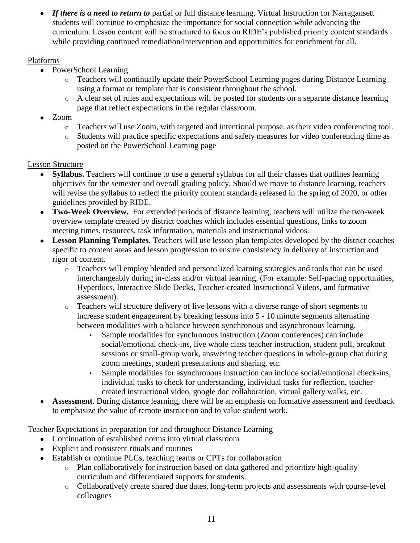• *If there is a need to return to* partial or full distance learning, Virtual Instruction for Narragansett students will continue to emphasize the importance for social connection while advancing the curriculum. Lesson content will be structured to focus on RIDE's published priority content standards while providing continued remediation/intervention and opportunities for enrichment for all.

# Platforms

- PowerSchool Learning
	- o Teachers will continually update their PowerSchool Learning pages during Distance Learning using a format or template that is consistent throughout the school.
	- o A clear set of rules and expectations will be posted for students on a separate distance learning page that reflect expectations in the regular classroom.
- Zoom
	- o Teachers will use Zoom, with targeted and intentional purpose, as their video conferencing tool.
	- o Students will practice specific expectations and safety measures for video conferencing time as posted on the PowerSchool Learning page

# Lesson Structure

- **Syllabus.** Teachers will continue to use a general syllabus for all their classes that outlines learning objectives for the semester and overall grading policy. Should we move to distance learning, teachers will revise the syllabus to reflect the priority content standards released in the spring of 2020, or other guidelines provided by RIDE.
- **Two-Week Overview.** For extended periods of distance learning, teachers will utilize the two-week overview template created by district coaches which includes essential questions, links to zoom meeting times, resources, task information, materials and instructional videos.
- **Lesson Planning Templates.** Teachers will use lesson plan templates developed by the district coaches specific to content areas and lesson progression to ensure consistency in delivery of instruction and rigor of content.
	- o Teachers will employ blended and personalized learning strategies and tools that can be used interchangeably during in-class and/or virtual learning. (For example: Self-pacing opportunities, Hyperdocs, Interactive Slide Decks, Teacher-created Instructional Videos, and formative assessment).
	- o Teachers will structure delivery of live lessons with a diverse range of short segments to increase student engagement by breaking lessons into 5 - 10 minute segments alternating between modalities with a balance between synchronous and asynchronous learning.
		- Sample modalities for synchronous instruction (Zoom conferences) can include social/emotional check-ins, live whole class teacher instruction, student poll, breakout sessions or small-group work, answering teacher questions in whole-group chat during zoom meetings, student presentations and sharing, etc.
		- Sample modalities for asynchronous instruction can include social/emotional check-ins, individual tasks to check for understanding, individual tasks for reflection, teachercreated instructional video, google doc collaboration, virtual gallery walks, etc.
- **Assessment**. During distance learning, there will be an emphasis on formative assessment and feedback to emphasize the value of remote instruction and to value student work.

Teacher Expectations in preparation for and throughout Distance Learning

- Continuation of established norms into virtual classroom
- Explicit and consistent rituals and routines
- Establish or continue PLCs, teaching teams or CPTs for collaboration
	- o Plan collaboratively for instruction based on data gathered and prioritize high-quality curriculum and differentiated supports for students.
	- o Collaboratively create shared due dates, long-term projects and assessments with course-level colleagues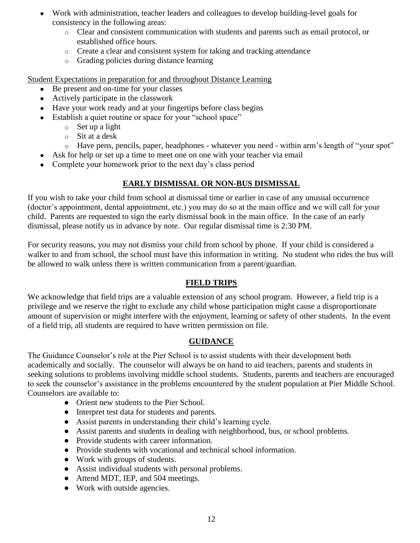- Work with administration, teacher leaders and colleagues to develop building-level goals for consistency in the following areas:
	- o Clear and consistent communication with students and parents such as email protocol, or established office hours.
	- o Create a clear and consistent system for taking and tracking attendance
	- o Grading policies during distance learning

Student Expectations in preparation for and throughout Distance Learning

- Be present and on-time for your classes
- Actively participate in the classwork
- Have your work ready and at your fingertips before class begins
- Establish a quiet routine or space for your "school space"
	- o Set up a light
	- o Sit at a desk
	- o Have pens, pencils, paper, headphones whatever you need within arm's length of "your spot"
- Ask for help or set up a time to meet one on one with your teacher via email
- Complete your homework prior to the next day's class period

# **EARLY DISMISSAL OR NON-BUS DISMISSAL**

If you wish to take your child from school at dismissal time or earlier in case of any unusual occurrence (doctor's appointment, dental appointment, etc.) you may do so at the main office and we will call for your child. Parents are requested to sign the early dismissal book in the main office. In the case of an early dismissal, please notify us in advance by note. Our regular dismissal time is 2:30 PM.

For security reasons, you may not dismiss your child from school by phone. If your child is considered a walker to and from school, the school must have this information in writing. No student who rides the bus will be allowed to walk unless there is written communication from a parent/guardian.

# **FIELD TRIPS**

We acknowledge that field trips are a valuable extension of any school program. However, a field trip is a privilege and we reserve the right to exclude any child whose participation might cause a disproportionate amount of supervision or might interfere with the enjoyment, learning or safety of other students. In the event of a field trip, all students are required to have written permission on file.

# **GUIDANCE**

The Guidance Counselor's role at the Pier School is to assist students with their development both academically and socially. The counselor will always be on hand to aid teachers, parents and students in seeking solutions to problems involving middle school students. Students, parents and teachers are encouraged to seek the counselor's assistance in the problems encountered by the student population at Pier Middle School. Counselors are available to:

- Orient new students to the Pier School.
- Interpret test data for students and parents.
- Assist parents in understanding their child's learning cycle.
- Assist parents and students in dealing with neighborhood, bus, or school problems.
- Provide students with career information.
- Provide students with vocational and technical school information.
- Work with groups of students.
- Assist individual students with personal problems.
- Attend MDT, IEP, and 504 meetings.
- Work with outside agencies.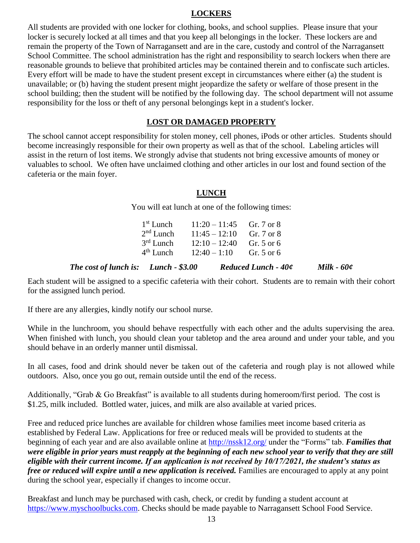#### **LOCKERS**

All students are provided with one locker for clothing, books, and school supplies. Please insure that your locker is securely locked at all times and that you keep all belongings in the locker. These lockers are and remain the property of the Town of Narragansett and are in the care, custody and control of the Narragansett School Committee. The school administration has the right and responsibility to search lockers when there are reasonable grounds to believe that prohibited articles may be contained therein and to confiscate such articles. Every effort will be made to have the student present except in circumstances where either (a) the student is unavailable; or (b) having the student present might jeopardize the safety or welfare of those present in the school building; then the student will be notified by the following day. The school department will not assume responsibility for the loss or theft of any personal belongings kept in a student's locker.

#### **LOST OR DAMAGED PROPERTY**

The school cannot accept responsibility for stolen money, cell phones, iPods or other articles. Students should become increasingly responsible for their own property as well as that of the school. Labeling articles will assist in the return of lost items. We strongly advise that students not bring excessive amounts of money or valuables to school. We often have unclaimed clothing and other articles in our lost and found section of the cafeteria or the main foyer.

### **LUNCH**

You will eat lunch at one of the following times:

| The cost of lunch is: Lunch - \$3.00 |                                        |  | <b>Reduced Lunch - 40¢</b> | Milk - 60¢ |
|--------------------------------------|----------------------------------------|--|----------------------------|------------|
|                                      | $4th$ Lunch $12:40-1:10$ Gr. 5 or 6    |  |                            |            |
|                                      | $3rd$ Lunch $12:10-12:40$ Gr. 5 or 6   |  |                            |            |
|                                      | $2nd$ Lunch $11:45 - 12:10$ Gr. 7 or 8 |  |                            |            |
|                                      | $1st$ Lunch $11:20-11:45$ Gr. 7 or 8   |  |                            |            |

Each student will be assigned to a specific cafeteria with their cohort. Students are to remain with their cohort for the assigned lunch period.

If there are any allergies, kindly notify our school nurse.

While in the lunchroom, you should behave respectfully with each other and the adults supervising the area. When finished with lunch, you should clean your tabletop and the area around and under your table, and you should behave in an orderly manner until dismissal.

In all cases, food and drink should never be taken out of the cafeteria and rough play is not allowed while outdoors. Also, once you go out, remain outside until the end of the recess.

Additionally, "Grab & Go Breakfast" is available to all students during homeroom/first period. The cost is \$1.25, milk included. Bottled water, juices, and milk are also available at varied prices.

Free and reduced price lunches are available for children whose families meet income based criteria as established by Federal Law. Applications for free or reduced meals will be provided to students at the beginning of each year and are also available online at<http://nssk12.org/> under the "Forms" tab. *Families that were eligible in prior years must reapply at the beginning of each new school year to verify that they are still eligible with their current income. If an application is not received by 10/17/2021, the student's status as free or reduced will expire until a new application is received.* Families are encouraged to apply at any point during the school year, especially if changes to income occur.

Breakfast and lunch may be purchased with cash, check, or credit by funding a student account at [https://www.myschoolbucks.com.](https://www.myschoolbucks.com/) Checks should be made payable to Narragansett School Food Service.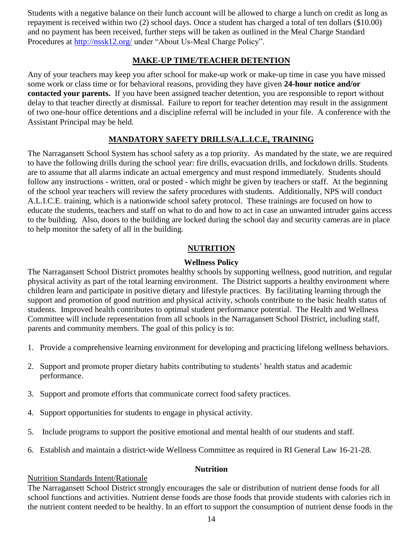Students with a negative balance on their lunch account will be allowed to charge a lunch on credit as long as repayment is received within two (2) school days. Once a student has charged a total of ten dollars (\$10.00) and no payment has been received, further steps will be taken as outlined in the Meal Charge Standard Procedures at<http://nssk12.org/> under "About Us-Meal Charge Policy".

# **MAKE-UP TIME/TEACHER DETENTION**

Any of your teachers may keep you after school for make-up work or make-up time in case you have missed some work or class time or for behavioral reasons, providing they have given **24-hour notice and/or contacted your parents.** If you have been assigned teacher detention, you are responsible to report without delay to that teacher directly at dismissal. Failure to report for teacher detention may result in the assignment of two one-hour office detentions and a discipline referral will be included in your file. A conference with the Assistant Principal may be held.

# **MANDATORY SAFETY DRILLS/A.L.I.C.E, TRAINING**

The Narragansett School System has school safety as a top priority. As mandated by the state, we are required to have the following drills during the school year: fire drills, evacuation drills, and lockdown drills. Students are to assume that all alarms indicate an actual emergency and must respond immediately. Students should follow any instructions - written, oral or posted - which might be given by teachers or staff. At the beginning of the school year teachers will review the safety procedures with students. Additionally, NPS will conduct A.L.I.C.E. training, which is a nationwide school safety protocol. These trainings are focused on how to educate the students, teachers and staff on what to do and how to act in case an unwanted intruder gains access to the building. Also, doors to the building are locked during the school day and security cameras are in place to help monitor the safety of all in the building.

#### **NUTRITION**

### **Wellness Policy**

The Narragansett School District promotes healthy schools by supporting wellness, good nutrition, and regular physical activity as part of the total learning environment. The District supports a healthy environment where children learn and participate in positive dietary and lifestyle practices. By facilitating learning through the support and promotion of good nutrition and physical activity, schools contribute to the basic health status of students. Improved health contributes to optimal student performance potential. The Health and Wellness Committee will include representation from all schools in the Narragansett School District, including staff, parents and community members. The goal of this policy is to:

- 1. Provide a comprehensive learning environment for developing and practicing lifelong wellness behaviors.
- 2. Support and promote proper dietary habits contributing to students' health status and academic performance.
- 3. Support and promote efforts that communicate correct food safety practices.
- 4. Support opportunities for students to engage in physical activity.
- 5. Include programs to support the positive emotional and mental health of our students and staff.
- 6. Establish and maintain a district-wide Wellness Committee as required in RI General Law 16-21-28.

#### **Nutrition**

#### Nutrition Standards Intent/Rationale

The Narragansett School District strongly encourages the sale or distribution of nutrient dense foods for all school functions and activities. Nutrient dense foods are those foods that provide students with calories rich in the nutrient content needed to be healthy. In an effort to support the consumption of nutrient dense foods in the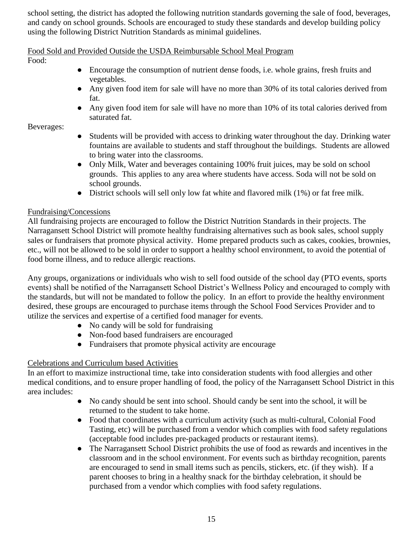school setting, the district has adopted the following nutrition standards governing the sale of food, beverages, and candy on school grounds. Schools are encouraged to study these standards and develop building policy using the following District Nutrition Standards as minimal guidelines.

#### Food Sold and Provided Outside the USDA Reimbursable School Meal Program

Food:

- Encourage the consumption of nutrient dense foods, i.e. whole grains, fresh fruits and vegetables.
- Any given food item for sale will have no more than 30% of its total calories derived from fat.
- Any given food item for sale will have no more than 10% of its total calories derived from saturated fat.

Beverages:

- Students will be provided with access to drinking water throughout the day. Drinking water fountains are available to students and staff throughout the buildings. Students are allowed to bring water into the classrooms.
- Only Milk, Water and beverages containing 100% fruit juices, may be sold on school grounds. This applies to any area where students have access. Soda will not be sold on school grounds.
- District schools will sell only low fat white and flavored milk (1%) or fat free milk.

# Fundraising/Concessions

All fundraising projects are encouraged to follow the District Nutrition Standards in their projects. The Narragansett School District will promote healthy fundraising alternatives such as book sales, school supply sales or fundraisers that promote physical activity. Home prepared products such as cakes, cookies, brownies, etc., will not be allowed to be sold in order to support a healthy school environment, to avoid the potential of food borne illness, and to reduce allergic reactions.

Any groups, organizations or individuals who wish to sell food outside of the school day (PTO events, sports events) shall be notified of the Narragansett School District's Wellness Policy and encouraged to comply with the standards, but will not be mandated to follow the policy. In an effort to provide the healthy environment desired, these groups are encouraged to purchase items through the School Food Services Provider and to utilize the services and expertise of a certified food manager for events.

- No candy will be sold for fundraising
- Non-food based fundraisers are encouraged
- Fundraisers that promote physical activity are encourage

# Celebrations and Curriculum based Activities

In an effort to maximize instructional time, take into consideration students with food allergies and other medical conditions, and to ensure proper handling of food, the policy of the Narragansett School District in this area includes:

- No candy should be sent into school. Should candy be sent into the school, it will be returned to the student to take home.
- Food that coordinates with a curriculum activity (such as multi-cultural, Colonial Food Tasting, etc) will be purchased from a vendor which complies with food safety regulations (acceptable food includes pre-packaged products or restaurant items).
- The Narragansett School District prohibits the use of food as rewards and incentives in the classroom and in the school environment. For events such as birthday recognition, parents are encouraged to send in small items such as pencils, stickers, etc. (if they wish). If a parent chooses to bring in a healthy snack for the birthday celebration, it should be purchased from a vendor which complies with food safety regulations.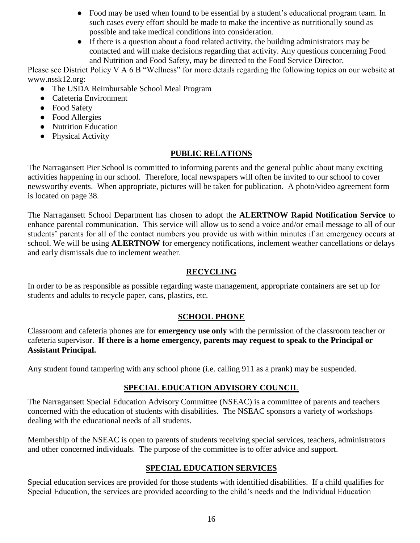- Food may be used when found to be essential by a student's educational program team. In such cases every effort should be made to make the incentive as nutritionally sound as possible and take medical conditions into consideration.
- If there is a question about a food related activity, the building administrators may be contacted and will make decisions regarding that activity. Any questions concerning Food and Nutrition and Food Safety, may be directed to the Food Service Director.

Please see District Policy V A 6 B "Wellness" for more details regarding the following topics on our website at www.nssk12.org:

- The USDA Reimbursable School Meal Program
- Cafeteria Environment
- Food Safety
- Food Allergies
- Nutrition Education
- Physical Activity

# **PUBLIC RELATIONS**

The Narragansett Pier School is committed to informing parents and the general public about many exciting activities happening in our school. Therefore, local newspapers will often be invited to our school to cover newsworthy events. When appropriate, pictures will be taken for publication. A photo/video agreement form is located on page 38.

The Narragansett School Department has chosen to adopt the **ALERTNOW Rapid Notification Service** to enhance parental communication. This service will allow us to send a voice and/or email message to all of our students' parents for all of the contact numbers you provide us with within minutes if an emergency occurs at school. We will be using **ALERTNOW** for emergency notifications, inclement weather cancellations or delays and early dismissals due to inclement weather.

# **RECYCLING**

In order to be as responsible as possible regarding waste management, appropriate containers are set up for students and adults to recycle paper, cans, plastics, etc.

# **SCHOOL PHONE**

Classroom and cafeteria phones are for **emergency use only** with the permission of the classroom teacher or cafeteria supervisor. **If there is a home emergency, parents may request to speak to the Principal or Assistant Principal.** 

Any student found tampering with any school phone (i.e. calling 911 as a prank) may be suspended.

# **SPECIAL EDUCATION ADVISORY COUNCIL**

The Narragansett Special Education Advisory Committee (NSEAC) is a committee of parents and teachers concerned with the education of students with disabilities. The NSEAC sponsors a variety of workshops dealing with the educational needs of all students.

Membership of the NSEAC is open to parents of students receiving special services, teachers, administrators and other concerned individuals. The purpose of the committee is to offer advice and support.

# **SPECIAL EDUCATION SERVICES**

Special education services are provided for those students with identified disabilities. If a child qualifies for Special Education, the services are provided according to the child's needs and the Individual Education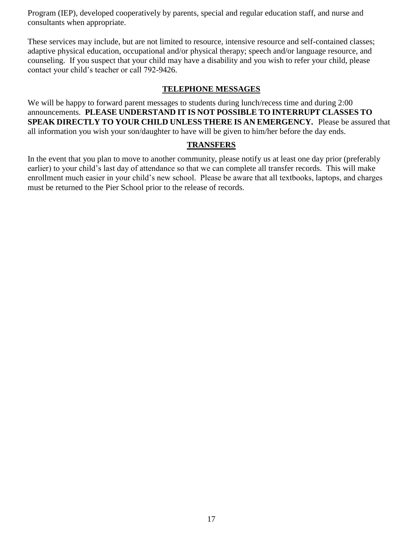Program (IEP), developed cooperatively by parents, special and regular education staff, and nurse and consultants when appropriate.

These services may include, but are not limited to resource, intensive resource and self-contained classes; adaptive physical education, occupational and/or physical therapy; speech and/or language resource, and counseling. If you suspect that your child may have a disability and you wish to refer your child, please contact your child's teacher or call 792-9426.

#### **TELEPHONE MESSAGES**

We will be happy to forward parent messages to students during lunch/recess time and during 2:00 announcements. **PLEASE UNDERSTAND IT IS NOT POSSIBLE TO INTERRUPT CLASSES TO SPEAK DIRECTLY TO YOUR CHILD UNLESS THERE IS AN EMERGENCY.** Please be assured that all information you wish your son/daughter to have will be given to him/her before the day ends.

#### **TRANSFERS**

In the event that you plan to move to another community, please notify us at least one day prior (preferably earlier) to your child's last day of attendance so that we can complete all transfer records. This will make enrollment much easier in your child's new school. Please be aware that all textbooks, laptops, and charges must be returned to the Pier School prior to the release of records.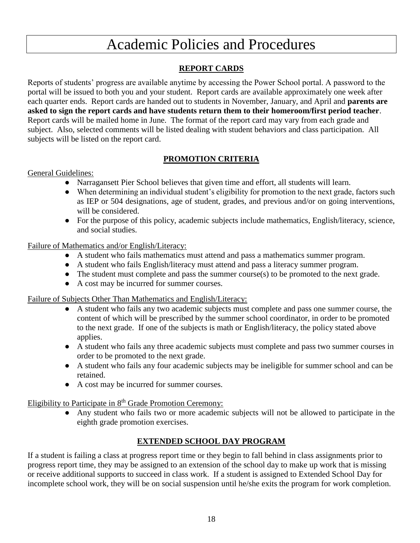# Academic Policies and Procedures

# **REPORT CARDS**

Reports of students' progress are available anytime by accessing the Power School portal. A password to the portal will be issued to both you and your student. Report cards are available approximately one week after each quarter ends. Report cards are handed out to students in November, January, and April and **parents are asked to sign the report cards and have students return them to their homeroom/first period teacher**. Report cards will be mailed home in June. The format of the report card may vary from each grade and subject. Also, selected comments will be listed dealing with student behaviors and class participation. All subjects will be listed on the report card.

# **PROMOTION CRITERIA**

### General Guidelines:

- Narragansett Pier School believes that given time and effort, all students will learn.
- When determining an individual student's eligibility for promotion to the next grade, factors such as IEP or 504 designations, age of student, grades, and previous and/or on going interventions, will be considered.
- For the purpose of this policy, academic subjects include mathematics, English/literacy, science, and social studies.

#### Failure of Mathematics and/or English/Literacy:

- A student who fails mathematics must attend and pass a mathematics summer program.
- A student who fails English/literacy must attend and pass a literacy summer program.
- The student must complete and pass the summer course(s) to be promoted to the next grade.
- A cost may be incurred for summer courses.

#### Failure of Subjects Other Than Mathematics and English/Literacy:

- A student who fails any two academic subjects must complete and pass one summer course, the content of which will be prescribed by the summer school coordinator, in order to be promoted to the next grade. If one of the subjects is math or English/literacy, the policy stated above applies.
- A student who fails any three academic subjects must complete and pass two summer courses in order to be promoted to the next grade.
- A student who fails any four academic subjects may be ineligible for summer school and can be retained.
- A cost may be incurred for summer courses.

Eligibility to Participate in 8<sup>th</sup> Grade Promotion Ceremony:

● Any student who fails two or more academic subjects will not be allowed to participate in the eighth grade promotion exercises.

# **EXTENDED SCHOOL DAY PROGRAM**

If a student is failing a class at progress report time or they begin to fall behind in class assignments prior to progress report time, they may be assigned to an extension of the school day to make up work that is missing or receive additional supports to succeed in class work. If a student is assigned to Extended School Day for incomplete school work, they will be on social suspension until he/she exits the program for work completion.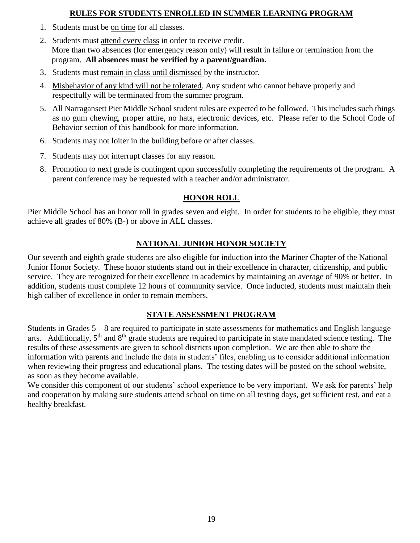# **RULES FOR STUDENTS ENROLLED IN SUMMER LEARNING PROGRAM**

- 1. Students must be on time for all classes.
- 2. Students must attend every class in order to receive credit. More than two absences (for emergency reason only) will result in failure or termination from the program. **All absences must be verified by a parent/guardian.**
- 3. Students must remain in class until dismissed by the instructor.
- 4. Misbehavior of any kind will not be tolerated. Any student who cannot behave properly and respectfully will be terminated from the summer program.
- 5. All Narragansett Pier Middle School student rules are expected to be followed. This includes such things as no gum chewing, proper attire, no hats, electronic devices, etc. Please refer to the School Code of Behavior section of this handbook for more information.
- 6. Students may not loiter in the building before or after classes.
- 7. Students may not interrupt classes for any reason.
- 8. Promotion to next grade is contingent upon successfully completing the requirements of the program. A parent conference may be requested with a teacher and/or administrator.

# **HONOR ROLL**

Pier Middle School has an honor roll in grades seven and eight. In order for students to be eligible, they must achieve all grades of 80% (B-) or above in ALL classes.

# **NATIONAL JUNIOR HONOR SOCIETY**

Our seventh and eighth grade students are also eligible for induction into the Mariner Chapter of the National Junior Honor Society. These honor students stand out in their excellence in character, citizenship, and public service. They are recognized for their excellence in academics by maintaining an average of 90% or better. In addition, students must complete 12 hours of community service. Once inducted, students must maintain their high caliber of excellence in order to remain members.

### **STATE ASSESSMENT PROGRAM**

Students in Grades 5 – 8 are required to participate in state assessments for mathematics and English language arts. Additionally,  $5<sup>th</sup>$  and  $8<sup>th</sup>$  grade students are required to participate in state mandated science testing. The results of these assessments are given to school districts upon completion. We are then able to share the information with parents and include the data in students' files, enabling us to consider additional information when reviewing their progress and educational plans. The testing dates will be posted on the school website, as soon as they become available.

We consider this component of our students' school experience to be very important. We ask for parents' help and cooperation by making sure students attend school on time on all testing days, get sufficient rest, and eat a healthy breakfast.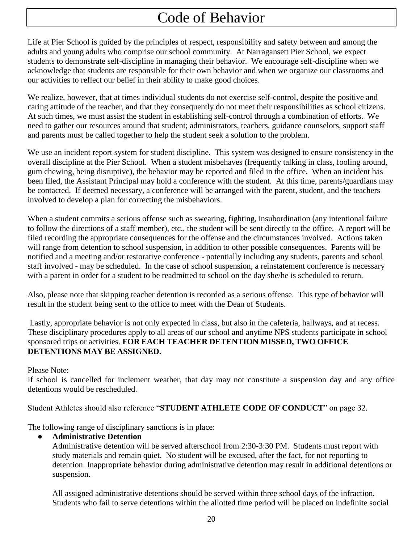# Code of Behavior

Life at Pier School is guided by the principles of respect, responsibility and safety between and among the adults and young adults who comprise our school community. At Narragansett Pier School, we expect students to demonstrate self-discipline in managing their behavior. We encourage self-discipline when we acknowledge that students are responsible for their own behavior and when we organize our classrooms and our activities to reflect our belief in their ability to make good choices.

We realize, however, that at times individual students do not exercise self-control, despite the positive and caring attitude of the teacher, and that they consequently do not meet their responsibilities as school citizens. At such times, we must assist the student in establishing self-control through a combination of efforts. We need to gather our resources around that student; administrators, teachers, guidance counselors, support staff and parents must be called together to help the student seek a solution to the problem.

We use an incident report system for student discipline. This system was designed to ensure consistency in the overall discipline at the Pier School. When a student misbehaves (frequently talking in class, fooling around, gum chewing, being disruptive), the behavior may be reported and filed in the office. When an incident has been filed, the Assistant Principal may hold a conference with the student. At this time, parents/guardians may be contacted. If deemed necessary, a conference will be arranged with the parent, student, and the teachers involved to develop a plan for correcting the misbehaviors.

When a student commits a serious offense such as swearing, fighting, insubordination (any intentional failure to follow the directions of a staff member), etc., the student will be sent directly to the office. A report will be filed recording the appropriate consequences for the offense and the circumstances involved. Actions taken will range from detention to school suspension, in addition to other possible consequences. Parents will be notified and a meeting and/or restorative conference - potentially including any students, parents and school staff involved - may be scheduled. In the case of school suspension, a reinstatement conference is necessary with a parent in order for a student to be readmitted to school on the day she/he is scheduled to return.

Also, please note that skipping teacher detention is recorded as a serious offense. This type of behavior will result in the student being sent to the office to meet with the Dean of Students.

Lastly, appropriate behavior is not only expected in class, but also in the cafeteria, hallways, and at recess. These disciplinary procedures apply to all areas of our school and anytime NPS students participate in school sponsored trips or activities. **FOR EACH TEACHER DETENTION MISSED, TWO OFFICE DETENTIONS MAY BE ASSIGNED.**

Please Note:

If school is cancelled for inclement weather, that day may not constitute a suspension day and any office detentions would be rescheduled.

Student Athletes should also reference "**STUDENT ATHLETE CODE OF CONDUCT**" on page 32.

The following range of disciplinary sanctions is in place:

### ● **Administrative Detention**

Administrative detention will be served afterschool from 2:30-3:30 PM. Students must report with study materials and remain quiet. No student will be excused, after the fact, for not reporting to detention. Inappropriate behavior during administrative detention may result in additional detentions or suspension.

All assigned administrative detentions should be served within three school days of the infraction. Students who fail to serve detentions within the allotted time period will be placed on indefinite social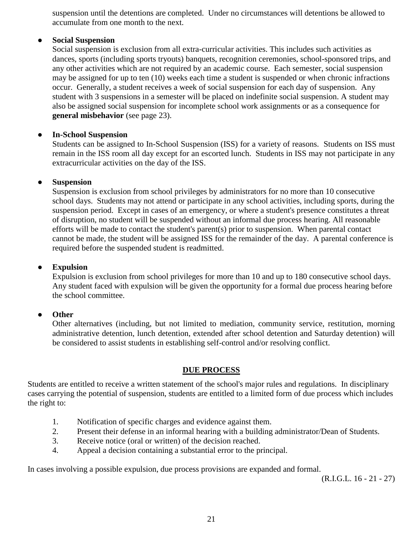suspension until the detentions are completed. Under no circumstances will detentions be allowed to accumulate from one month to the next.

#### ● **Social Suspension**

Social suspension is exclusion from all extra-curricular activities. This includes such activities as dances, sports (including sports tryouts) banquets, recognition ceremonies, school-sponsored trips, and any other activities which are not required by an academic course. Each semester, social suspension may be assigned for up to ten (10) weeks each time a student is suspended or when chronic infractions occur. Generally, a student receives a week of social suspension for each day of suspension. Any student with 3 suspensions in a semester will be placed on indefinite social suspension. A student may also be assigned social suspension for incomplete school work assignments or as a consequence for **general misbehavior** (see page 23).

#### ● **In-School Suspension**

Students can be assigned to In-School Suspension (ISS) for a variety of reasons. Students on ISS must remain in the ISS room all day except for an escorted lunch. Students in ISS may not participate in any extracurricular activities on the day of the ISS.

#### ● **Suspension**

Suspension is exclusion from school privileges by administrators for no more than 10 consecutive school days. Students may not attend or participate in any school activities, including sports, during the suspension period. Except in cases of an emergency, or where a student's presence constitutes a threat of disruption, no student will be suspended without an informal due process hearing. All reasonable efforts will be made to contact the student's parent(s) prior to suspension. When parental contact cannot be made, the student will be assigned ISS for the remainder of the day. A parental conference is required before the suspended student is readmitted.

#### ● **Expulsion**

Expulsion is exclusion from school privileges for more than 10 and up to 180 consecutive school days. Any student faced with expulsion will be given the opportunity for a formal due process hearing before the school committee.

#### ● **Other**

Other alternatives (including, but not limited to mediation, community service, restitution, morning administrative detention, lunch detention, extended after school detention and Saturday detention) will be considered to assist students in establishing self-control and/or resolving conflict.

#### **DUE PROCESS**

Students are entitled to receive a written statement of the school's major rules and regulations. In disciplinary cases carrying the potential of suspension, students are entitled to a limited form of due process which includes the right to:

- 1. Notification of specific charges and evidence against them.
- 2. Present their defense in an informal hearing with a building administrator/Dean of Students.
- 3. Receive notice (oral or written) of the decision reached.
- 4. Appeal a decision containing a substantial error to the principal.

In cases involving a possible expulsion, due process provisions are expanded and formal.

(R.I.G.L. 16 - 21 - 27)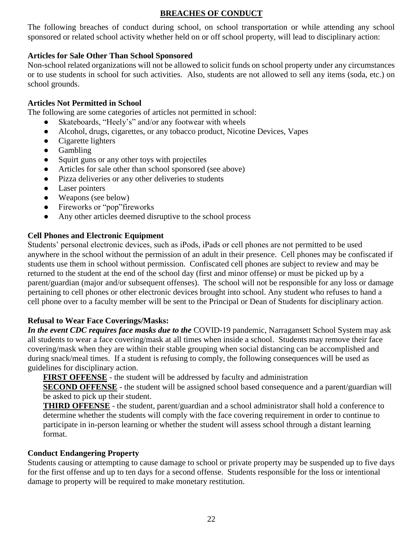# **BREACHES OF CONDUCT**

The following breaches of conduct during school, on school transportation or while attending any school sponsored or related school activity whether held on or off school property, will lead to disciplinary action:

# **Articles for Sale Other Than School Sponsored**

Non-school related organizations will not be allowed to solicit funds on school property under any circumstances or to use students in school for such activities. Also, students are not allowed to sell any items (soda, etc.) on school grounds.

# **Articles Not Permitted in School**

The following are some categories of articles not permitted in school:

- Skateboards, "Heely's" and/or any footwear with wheels
- Alcohol, drugs, cigarettes, or any tobacco product, Nicotine Devices, Vapes
- Cigarette lighters
- Gambling
- Squirt guns or any other toys with projectiles
- Articles for sale other than school sponsored (see above)
- Pizza deliveries or any other deliveries to students
- Laser pointers
- Weapons (see below)
- Fireworks or "pop"fireworks
- Any other articles deemed disruptive to the school process

# **Cell Phones and Electronic Equipment**

Students' personal electronic devices, such as iPods, iPads or cell phones are not permitted to be used anywhere in the school without the permission of an adult in their presence. Cell phones may be confiscated if students use them in school without permission. Confiscated cell phones are subject to review and may be returned to the student at the end of the school day (first and minor offense) or must be picked up by a parent/guardian (major and/or subsequent offenses). The school will not be responsible for any loss or damage pertaining to cell phones or other electronic devices brought into school. Any student who refuses to hand a cell phone over to a faculty member will be sent to the Principal or Dean of Students for disciplinary action**.**

# **Refusal to Wear Face Coverings/Masks:**

*In the event CDC requires face masks due to the* COVID-19 pandemic, Narragansett School System may ask all students to wear a face covering/mask at all times when inside a school. Students may remove their face covering/mask when they are within their stable grouping when social distancing can be accomplished and during snack/meal times. If a student is refusing to comply, the following consequences will be used as guidelines for disciplinary action.

**FIRST OFFENSE** - the student will be addressed by faculty and administration

**SECOND OFFENSE** - the student will be assigned school based consequence and a parent/guardian will be asked to pick up their student.

**THIRD OFFENSE** - the student, parent/guardian and a school administrator shall hold a conference to determine whether the students will comply with the face covering requirement in order to continue to participate in in-person learning or whether the student will assess school through a distant learning format.

### **Conduct Endangering Property**

Students causing or attempting to cause damage to school or private property may be suspended up to five days for the first offense and up to ten days for a second offense. Students responsible for the loss or intentional damage to property will be required to make monetary restitution.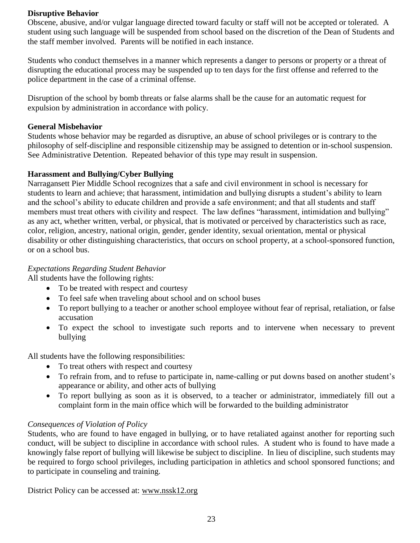### **Disruptive Behavior**

Obscene, abusive, and/or vulgar language directed toward faculty or staff will not be accepted or tolerated. A student using such language will be suspended from school based on the discretion of the Dean of Students and the staff member involved. Parents will be notified in each instance.

Students who conduct themselves in a manner which represents a danger to persons or property or a threat of disrupting the educational process may be suspended up to ten days for the first offense and referred to the police department in the case of a criminal offense.

Disruption of the school by bomb threats or false alarms shall be the cause for an automatic request for expulsion by administration in accordance with policy.

#### **General Misbehavior**

Students whose behavior may be regarded as disruptive, an abuse of school privileges or is contrary to the philosophy of self-discipline and responsible citizenship may be assigned to detention or in-school suspension. See Administrative Detention. Repeated behavior of this type may result in suspension.

#### **Harassment and Bullying/Cyber Bullying**

Narragansett Pier Middle School recognizes that a safe and civil environment in school is necessary for students to learn and achieve; that harassment, intimidation and bullying disrupts a student's ability to learn and the school's ability to educate children and provide a safe environment; and that all students and staff members must treat others with civility and respect. The law defines "harassment, intimidation and bullying" as any act, whether written, verbal, or physical, that is motivated or perceived by characteristics such as race, color, religion, ancestry, national origin, gender, gender identity, sexual orientation, mental or physical disability or other distinguishing characteristics, that occurs on school property, at a school-sponsored function, or on a school bus.

### *Expectations Regarding Student Behavior*

All students have the following rights:

- To be treated with respect and courtesy
- To feel safe when traveling about school and on school buses
- To report bullying to a teacher or another school employee without fear of reprisal, retaliation, or false accusation
- To expect the school to investigate such reports and to intervene when necessary to prevent bullying

All students have the following responsibilities:

- To treat others with respect and courtesy
- To refrain from, and to refuse to participate in, name-calling or put downs based on another student's appearance or ability, and other acts of bullying
- To report bullying as soon as it is observed, to a teacher or administrator, immediately fill out a complaint form in the main office which will be forwarded to the building administrator

### *Consequences of Violation of Policy*

Students, who are found to have engaged in bullying, or to have retaliated against another for reporting such conduct, will be subject to discipline in accordance with school rules. A student who is found to have made a knowingly false report of bullying will likewise be subject to discipline. In lieu of discipline, such students may be required to forgo school privileges, including participation in athletics and school sponsored functions; and to participate in counseling and training.

District Policy can be accessed at: www.nssk12.org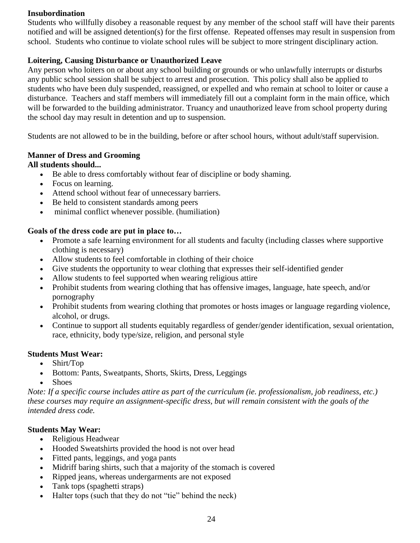### **Insubordination**

Students who willfully disobey a reasonable request by any member of the school staff will have their parents notified and will be assigned detention(s) for the first offense. Repeated offenses may result in suspension from school. Students who continue to violate school rules will be subject to more stringent disciplinary action.

### **Loitering, Causing Disturbance or Unauthorized Leave**

Any person who loiters on or about any school building or grounds or who unlawfully interrupts or disturbs any public school session shall be subject to arrest and prosecution. This policy shall also be applied to students who have been duly suspended, reassigned, or expelled and who remain at school to loiter or cause a disturbance. Teachers and staff members will immediately fill out a complaint form in the main office, which will be forwarded to the building administrator. Truancy and unauthorized leave from school property during the school day may result in detention and up to suspension.

Students are not allowed to be in the building, before or after school hours, without adult/staff supervision.

#### **Manner of Dress and Grooming**

### **All students should...**

- Be able to dress comfortably without fear of discipline or body shaming.
- Focus on learning.
- Attend school without fear of unnecessary barriers.
- Be held to consistent standards among peers
- minimal conflict whenever possible. (humiliation)

### **Goals of the dress code are put in place to…**

- Promote a safe learning environment for all students and faculty (including classes where supportive clothing is necessary)
- Allow students to feel comfortable in clothing of their choice
- Give students the opportunity to wear clothing that expresses their self-identified gender
- Allow students to feel supported when wearing religious attire
- Prohibit students from wearing clothing that has offensive images, language, hate speech, and/or pornography
- Prohibit students from wearing clothing that promotes or hosts images or language regarding violence, alcohol, or drugs.
- Continue to support all students equitably regardless of gender/gender identification, sexual orientation, race, ethnicity, body type/size, religion, and personal style

### **Students Must Wear:**

- Shirt/Top
- Bottom: Pants, Sweatpants, Shorts, Skirts, Dress, Leggings
- Shoes

*Note: If a specific course includes attire as part of the curriculum (ie. professionalism, job readiness, etc.) these courses may require an assignment-specific dress, but will remain consistent with the goals of the intended dress code.*

### **Students May Wear:**

- Religious Headwear
- Hooded Sweatshirts provided the hood is not over head
- Fitted pants, leggings, and yoga pants
- Midriff baring shirts, such that a majority of the stomach is covered
- Ripped jeans, whereas undergarments are not exposed
- Tank tops (spaghetti straps)
- Halter tops (such that they do not "tie" behind the neck)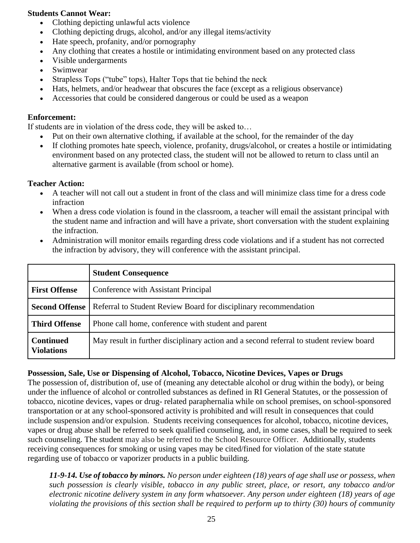#### **Students Cannot Wear:**

- Clothing depicting unlawful acts violence
- Clothing depicting drugs, alcohol, and/or any illegal items/activity
- Hate speech, profanity, and/or pornography
- Any clothing that creates a hostile or intimidating environment based on any protected class
- Visible undergarments
- Swimwear
- Strapless Tops ("tube" tops), Halter Tops that tie behind the neck
- Hats, helmets, and/or headwear that obscures the face (except as a religious observance)
- Accessories that could be considered dangerous or could be used as a weapon

### **Enforcement:**

If students are in violation of the dress code, they will be asked to…

- Put on their own alternative clothing, if available at the school, for the remainder of the day
- If clothing promotes hate speech, violence, profanity, drugs/alcohol, or creates a hostile or intimidating environment based on any protected class, the student will not be allowed to return to class until an alternative garment is available (from school or home).

#### **Teacher Action:**

- A teacher will not call out a student in front of the class and will minimize class time for a dress code infraction
- When a dress code violation is found in the classroom, a teacher will email the assistant principal with the student name and infraction and will have a private, short conversation with the student explaining the infraction.
- Administration will monitor emails regarding dress code violations and if a student has not corrected the infraction by advisory, they will conference with the assistant principal.

|                                       | <b>Student Consequence</b>                                                              |
|---------------------------------------|-----------------------------------------------------------------------------------------|
| <b>First Offense</b>                  | Conference with Assistant Principal                                                     |
| <b>Second Offense</b>                 | Referral to Student Review Board for disciplinary recommendation                        |
| <b>Third Offense</b>                  | Phone call home, conference with student and parent                                     |
| <b>Continued</b><br><b>Violations</b> | May result in further disciplinary action and a second referral to student review board |

### **Possession, Sale, Use or Dispensing of Alcohol, Tobacco, Nicotine Devices, Vapes or Drugs**

The possession of, distribution of, use of (meaning any detectable alcohol or drug within the body), or being under the influence of alcohol or controlled substances as defined in RI General Statutes, or the possession of tobacco, nicotine devices, vapes or drug- related paraphernalia while on school premises, on school-sponsored transportation or at any school-sponsored activity is prohibited and will result in consequences that could include suspension and/or expulsion. Students receiving consequences for alcohol, tobacco, nicotine devices, vapes or drug abuse shall be referred to seek qualified counseling, and, in some cases, shall be required to seek such counseling. The student may also be referred to the School Resource Officer. Additionally, students receiving consequences for smoking or using vapes may be cited/fined for violation of the state statute regarding use of tobacco or vaporizer products in a public building.

*11-9-14. Use of tobacco by minors. No person under eighteen (18) years of age shall use or possess, when such possession is clearly visible, tobacco in any public street, place, or resort, any tobacco and/or electronic nicotine delivery system in any form whatsoever. Any person under eighteen (18) years of age violating the provisions of this section shall be required to perform up to thirty (30) hours of community*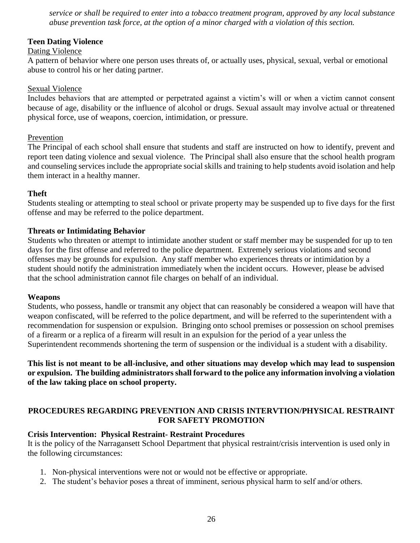*service or shall be required to enter into a tobacco treatment program, approved by any local substance abuse prevention task force, at the option of a minor charged with a violation of this section.* 

#### **Teen Dating Violence**

### Dating Violence

A pattern of behavior where one person uses threats of, or actually uses, physical, sexual, verbal or emotional abuse to control his or her dating partner.

#### Sexual Violence

Includes behaviors that are attempted or perpetrated against a victim's will or when a victim cannot consent because of age, disability or the influence of alcohol or drugs. Sexual assault may involve actual or threatened physical force, use of weapons, coercion, intimidation, or pressure.

#### Prevention

The Principal of each school shall ensure that students and staff are instructed on how to identify, prevent and report teen dating violence and sexual violence. The Principal shall also ensure that the school health program and counseling services include the appropriate social skills and training to help students avoid isolation and help them interact in a healthy manner.

### **Theft**

Students stealing or attempting to steal school or private property may be suspended up to five days for the first offense and may be referred to the police department.

#### **Threats or Intimidating Behavior**

Students who threaten or attempt to intimidate another student or staff member may be suspended for up to ten days for the first offense and referred to the police department. Extremely serious violations and second offenses may be grounds for expulsion. Any staff member who experiences threats or intimidation by a student should notify the administration immediately when the incident occurs. However, please be advised that the school administration cannot file charges on behalf of an individual.

#### **Weapons**

Students, who possess, handle or transmit any object that can reasonably be considered a weapon will have that weapon confiscated, will be referred to the police department, and will be referred to the superintendent with a recommendation for suspension or expulsion. Bringing onto school premises or possession on school premises of a firearm or a replica of a firearm will result in an expulsion for the period of a year unless the Superintendent recommends shortening the term of suspension or the individual is a student with a disability.

**This list is not meant to be all-inclusive, and other situations may develop which may lead to suspension or expulsion. The building administrators shall forward to the police any information involving a violation of the law taking place on school property.**

### **PROCEDURES REGARDING PREVENTION AND CRISIS INTERVTION/PHYSICAL RESTRAINT FOR SAFETY PROMOTION**

### **Crisis Intervention: Physical Restraint- Restraint Procedures**

It is the policy of the Narragansett School Department that physical restraint/crisis intervention is used only in the following circumstances:

- 1. Non-physical interventions were not or would not be effective or appropriate.
- 2. The student's behavior poses a threat of imminent, serious physical harm to self and/or others.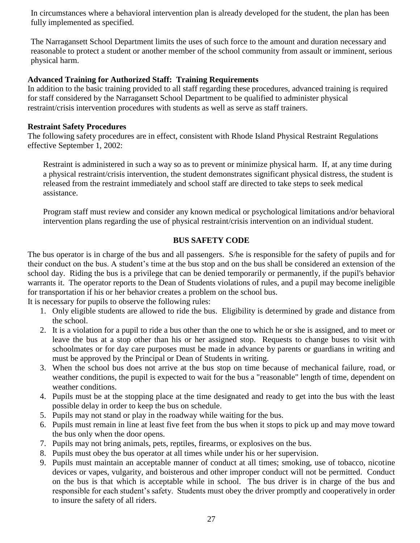In circumstances where a behavioral intervention plan is already developed for the student, the plan has been fully implemented as specified.

The Narragansett School Department limits the uses of such force to the amount and duration necessary and reasonable to protect a student or another member of the school community from assault or imminent, serious physical harm.

#### **Advanced Training for Authorized Staff: Training Requirements**

In addition to the basic training provided to all staff regarding these procedures, advanced training is required for staff considered by the Narragansett School Department to be qualified to administer physical restraint/crisis intervention procedures with students as well as serve as staff trainers.

#### **Restraint Safety Procedures**

The following safety procedures are in effect, consistent with Rhode Island Physical Restraint Regulations effective September 1, 2002:

Restraint is administered in such a way so as to prevent or minimize physical harm. If, at any time during a physical restraint/crisis intervention, the student demonstrates significant physical distress, the student is released from the restraint immediately and school staff are directed to take steps to seek medical assistance.

Program staff must review and consider any known medical or psychological limitations and/or behavioral intervention plans regarding the use of physical restraint/crisis intervention on an individual student.

### **BUS SAFETY CODE**

The bus operator is in charge of the bus and all passengers. S/he is responsible for the safety of pupils and for their conduct on the bus. A student's time at the bus stop and on the bus shall be considered an extension of the school day. Riding the bus is a privilege that can be denied temporarily or permanently, if the pupil's behavior warrants it. The operator reports to the Dean of Students violations of rules, and a pupil may become ineligible for transportation if his or her behavior creates a problem on the school bus.

It is necessary for pupils to observe the following rules:

- 1. Only eligible students are allowed to ride the bus. Eligibility is determined by grade and distance from the school.
- 2. It is a violation for a pupil to ride a bus other than the one to which he or she is assigned, and to meet or leave the bus at a stop other than his or her assigned stop. Requests to change buses to visit with schoolmates or for day care purposes must be made in advance by parents or guardians in writing and must be approved by the Principal or Dean of Students in writing.
- 3. When the school bus does not arrive at the bus stop on time because of mechanical failure, road, or weather conditions, the pupil is expected to wait for the bus a "reasonable" length of time, dependent on weather conditions.
- 4. Pupils must be at the stopping place at the time designated and ready to get into the bus with the least possible delay in order to keep the bus on schedule.
- 5. Pupils may not stand or play in the roadway while waiting for the bus.
- 6. Pupils must remain in line at least five feet from the bus when it stops to pick up and may move toward the bus only when the door opens.
- 7. Pupils may not bring animals, pets, reptiles, firearms, or explosives on the bus.
- 8. Pupils must obey the bus operator at all times while under his or her supervision.
- 9. Pupils must maintain an acceptable manner of conduct at all times; smoking, use of tobacco, nicotine devices or vapes, vulgarity, and boisterous and other improper conduct will not be permitted. Conduct on the bus is that which is acceptable while in school. The bus driver is in charge of the bus and responsible for each student's safety. Students must obey the driver promptly and cooperatively in order to insure the safety of all riders.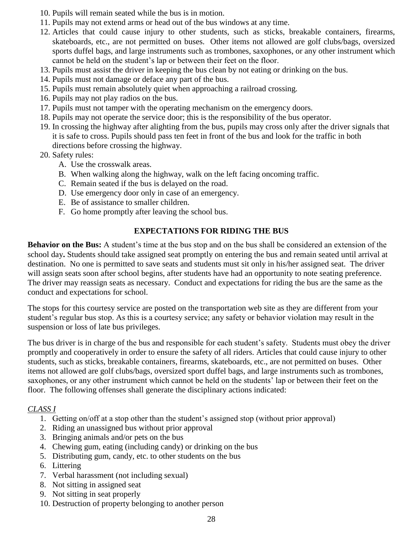- 10. Pupils will remain seated while the bus is in motion.
- 11. Pupils may not extend arms or head out of the bus windows at any time.
- 12. Articles that could cause injury to other students, such as sticks, breakable containers, firearms, skateboards, etc., are not permitted on buses. Other items not allowed are golf clubs/bags, oversized sports duffel bags, and large instruments such as trombones, saxophones, or any other instrument which cannot be held on the student's lap or between their feet on the floor.
- 13. Pupils must assist the driver in keeping the bus clean by not eating or drinking on the bus.
- 14. Pupils must not damage or deface any part of the bus.
- 15. Pupils must remain absolutely quiet when approaching a railroad crossing.
- 16. Pupils may not play radios on the bus.
- 17. Pupils must not tamper with the operating mechanism on the emergency doors.
- 18. Pupils may not operate the service door; this is the responsibility of the bus operator.
- 19. In crossing the highway after alighting from the bus, pupils may cross only after the driver signals that it is safe to cross. Pupils should pass ten feet in front of the bus and look for the traffic in both directions before crossing the highway.

20. Safety rules:

- A. Use the crosswalk areas.
- B. When walking along the highway, walk on the left facing oncoming traffic.
- C. Remain seated if the bus is delayed on the road.
- D. Use emergency door only in case of an emergency.
- E. Be of assistance to smaller children.
- F. Go home promptly after leaving the school bus.

# **EXPECTATIONS FOR RIDING THE BUS**

**Behavior on the Bus:** A student's time at the bus stop and on the bus shall be considered an extension of the school day**.** Students should take assigned seat promptly on entering the bus and remain seated until arrival at destination. No one is permitted to save seats and students must sit only in his/her assigned seat. The driver will assign seats soon after school begins, after students have had an opportunity to note seating preference. The driver may reassign seats as necessary. Conduct and expectations for riding the bus are the same as the conduct and expectations for school.

The stops for this courtesy service are posted on the transportation web site as they are different from your student's regular bus stop. As this is a courtesy service; any safety or behavior violation may result in the suspension or loss of late bus privileges.

The bus driver is in charge of the bus and responsible for each student's safety. Students must obey the driver promptly and cooperatively in order to ensure the safety of all riders. Articles that could cause injury to other students, such as sticks, breakable containers, firearms, skateboards, etc., are not permitted on buses. Other items not allowed are golf clubs/bags, oversized sport duffel bags, and large instruments such as trombones, saxophones, or any other instrument which cannot be held on the students' lap or between their feet on the floor. The following offenses shall generate the disciplinary actions indicated:

### *CLASS I*

- 1. Getting on/off at a stop other than the student's assigned stop (without prior approval)
- 2. Riding an unassigned bus without prior approval
- 3. Bringing animals and/or pets on the bus
- 4. Chewing gum, eating (including candy) or drinking on the bus
- 5. Distributing gum, candy, etc. to other students on the bus
- 6. Littering
- 7. Verbal harassment (not including sexual)
- 8. Not sitting in assigned seat
- 9. Not sitting in seat properly
- 10. Destruction of property belonging to another person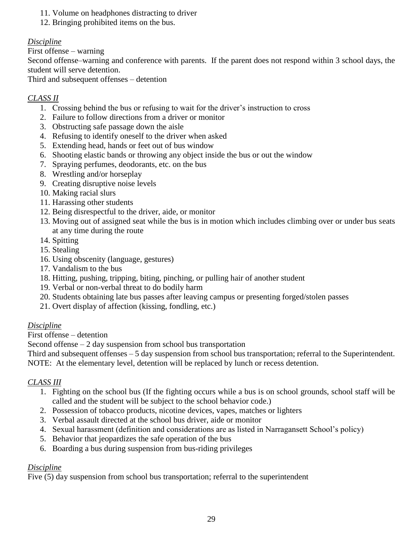- 11. Volume on headphones distracting to driver
- 12. Bringing prohibited items on the bus.

# *Discipline*

First offense – warning

Second offense–warning and conference with parents. If the parent does not respond within 3 school days, the student will serve detention.

Third and subsequent offenses – detention

# *CLASS II*

- 1. Crossing behind the bus or refusing to wait for the driver's instruction to cross
- 2. Failure to follow directions from a driver or monitor
- 3. Obstructing safe passage down the aisle
- 4. Refusing to identify oneself to the driver when asked
- 5. Extending head, hands or feet out of bus window
- 6. Shooting elastic bands or throwing any object inside the bus or out the window
- 7. Spraying perfumes, deodorants, etc. on the bus
- 8. Wrestling and/or horseplay
- 9. Creating disruptive noise levels
- 10. Making racial slurs
- 11. Harassing other students
- 12. Being disrespectful to the driver, aide, or monitor
- 13. Moving out of assigned seat while the bus is in motion which includes climbing over or under bus seats at any time during the route
- 14. Spitting
- 15. Stealing
- 16. Using obscenity (language, gestures)
- 17. Vandalism to the bus
- 18. Hitting, pushing, tripping, biting, pinching, or pulling hair of another student
- 19. Verbal or non-verbal threat to do bodily harm
- 20. Students obtaining late bus passes after leaving campus or presenting forged/stolen passes
- 21. Overt display of affection (kissing, fondling, etc.)

# *Discipline*

First offense – detention

Second offense  $-2$  day suspension from school bus transportation

Third and subsequent offenses – 5 day suspension from school bus transportation; referral to the Superintendent. NOTE: At the elementary level, detention will be replaced by lunch or recess detention.

# *CLASS III*

- 1. Fighting on the school bus (If the fighting occurs while a bus is on school grounds, school staff will be called and the student will be subject to the school behavior code.)
- 2. Possession of tobacco products, nicotine devices, vapes, matches or lighters
- 3. Verbal assault directed at the school bus driver, aide or monitor
- 4. Sexual harassment (definition and considerations are as listed in Narragansett School's policy)
- 5. Behavior that jeopardizes the safe operation of the bus
- 6. Boarding a bus during suspension from bus-riding privileges

# *Discipline*

Five (5) day suspension from school bus transportation; referral to the superintendent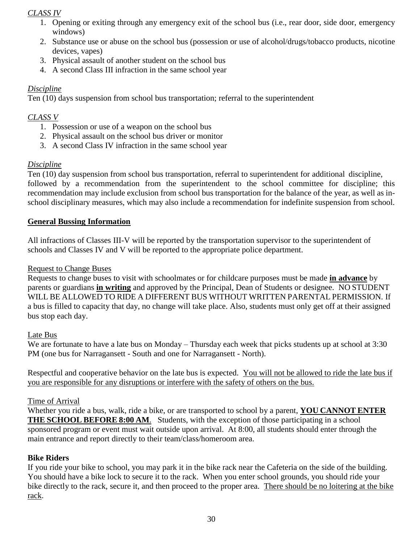# *CLASS IV*

- 1. Opening or exiting through any emergency exit of the school bus (i.e., rear door, side door, emergency windows)
- 2. Substance use or abuse on the school bus (possession or use of alcohol/drugs/tobacco products, nicotine devices, vapes)
- 3. Physical assault of another student on the school bus
- 4. A second Class III infraction in the same school year

# *Discipline*

Ten (10) days suspension from school bus transportation; referral to the superintendent

# *CLASS V*

- 1. Possession or use of a weapon on the school bus
- 2. Physical assault on the school bus driver or monitor
- 3. A second Class IV infraction in the same school year

# *Discipline*

Ten (10) day suspension from school bus transportation, referral to superintendent for additional discipline, followed by a recommendation from the superintendent to the school committee for discipline; this recommendation may include exclusion from school bus transportation for the balance of the year, as well as inschool disciplinary measures, which may also include a recommendation for indefinite suspension from school.

# **General Bussing Information**

All infractions of Classes III-V will be reported by the transportation supervisor to the superintendent of schools and Classes IV and V will be reported to the appropriate police department.

# Request to Change Buses

Requests to change buses to visit with schoolmates or for childcare purposes must be made **in advance** by parents or guardians **in writing** and approved by the Principal, Dean of Students or designee. NO STUDENT WILL BE ALLOWED TO RIDE A DIFFERENT BUS WITHOUT WRITTEN PARENTAL PERMISSION. If a bus is filled to capacity that day, no change will take place. Also, students must only get off at their assigned bus stop each day.

# Late Bus

We are fortunate to have a late bus on Monday – Thursday each week that picks students up at school at 3:30 PM (one bus for Narragansett - South and one for Narragansett - North).

Respectful and cooperative behavior on the late bus is expected. You will not be allowed to ride the late bus if you are responsible for any disruptions or interfere with the safety of others on the bus.

### Time of Arrival

Whether you ride a bus, walk, ride a bike, or are transported to school by a parent, **YOU CANNOT ENTER THE SCHOOL BEFORE 8:00 AM**. Students, with the exception of those participating in a school sponsored program or event must wait outside upon arrival. At 8:00, all students should enter through the main entrance and report directly to their team/class/homeroom area.

# **Bike Riders**

If you ride your bike to school, you may park it in the bike rack near the Cafeteria on the side of the building. You should have a bike lock to secure it to the rack. When you enter school grounds, you should ride your bike directly to the rack, secure it, and then proceed to the proper area. There should be no loitering at the bike rack.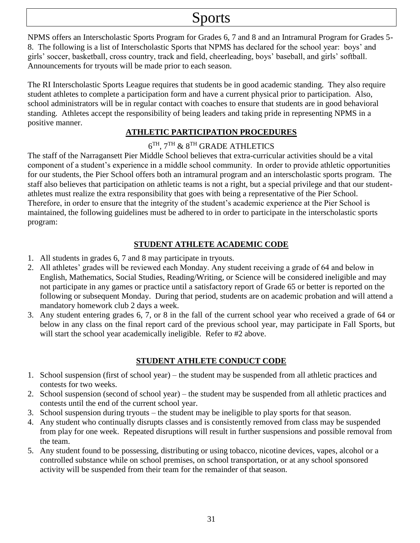# Sports

NPMS offers an Interscholastic Sports Program for Grades 6, 7 and 8 and an Intramural Program for Grades 5- 8. The following is a list of Interscholastic Sports that NPMS has declared for the school year: boys' and girls' soccer, basketball, cross country, track and field, cheerleading, boys' baseball, and girls' softball. Announcements for tryouts will be made prior to each season.

The RI Interscholastic Sports League requires that students be in good academic standing. They also require student athletes to complete a participation form and have a current physical prior to participation. Also, school administrators will be in regular contact with coaches to ensure that students are in good behavioral standing. Athletes accept the responsibility of being leaders and taking pride in representing NPMS in a positive manner.

# **ATHLETIC PARTICIPATION PROCEDURES**

# $6^{\text{TH}}, 7^{\text{TH}}$  &  $8^{\text{TH}}$  GRADE ATHLETICS

The staff of the Narragansett Pier Middle School believes that extra-curricular activities should be a vital component of a student's experience in a middle school community. In order to provide athletic opportunities for our students, the Pier School offers both an intramural program and an interscholastic sports program. The staff also believes that participation on athletic teams is not a right, but a special privilege and that our studentathletes must realize the extra responsibility that goes with being a representative of the Pier School. Therefore, in order to ensure that the integrity of the student's academic experience at the Pier School is maintained, the following guidelines must be adhered to in order to participate in the interscholastic sports program:

# **STUDENT ATHLETE ACADEMIC CODE**

- 1. All students in grades 6, 7 and 8 may participate in tryouts.
- 2. All athletes' grades will be reviewed each Monday. Any student receiving a grade of 64 and below in English, Mathematics, Social Studies, Reading/Writing, or Science will be considered ineligible and may not participate in any games or practice until a satisfactory report of Grade 65 or better is reported on the following or subsequent Monday. During that period, students are on academic probation and will attend a mandatory homework club 2 days a week.
- 3. Any student entering grades 6, 7, or 8 in the fall of the current school year who received a grade of 64 or below in any class on the final report card of the previous school year, may participate in Fall Sports, but will start the school year academically ineligible. Refer to #2 above.

# **STUDENT ATHLETE CONDUCT CODE**

- 1. School suspension (first of school year) the student may be suspended from all athletic practices and contests for two weeks.
- 2. School suspension (second of school year) the student may be suspended from all athletic practices and contests until the end of the current school year.
- 3. School suspension during tryouts the student may be ineligible to play sports for that season.
- 4. Any student who continually disrupts classes and is consistently removed from class may be suspended from play for one week. Repeated disruptions will result in further suspensions and possible removal from the team.
- 5. Any student found to be possessing, distributing or using tobacco, nicotine devices, vapes, alcohol or a controlled substance while on school premises, on school transportation, or at any school sponsored activity will be suspended from their team for the remainder of that season.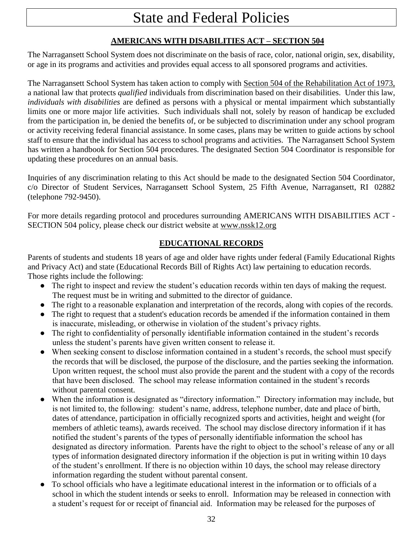# State and Federal Policies

# **AMERICANS WITH DISABILITIES ACT – SECTION 504**

The Narragansett School System does not discriminate on the basis of race, color, national origin, sex, disability, or age in its programs and activities and provides equal access to all sponsored programs and activities.

The Narragansett School System has taken action to comply with Section 504 of the Rehabilitation Act of 1973, a national law that protects *qualified* individuals from discrimination based on their disabilities. Under this law, *individuals with disabilities* are defined as persons with a physical or mental impairment which substantially limits one or more major life activities. Such individuals shall not, solely by reason of handicap be excluded from the participation in, be denied the benefits of, or be subjected to discrimination under any school program or activity receiving federal financial assistance. In some cases, plans may be written to guide actions by school staff to ensure that the individual has access to school programs and activities. The Narragansett School System has written a handbook for Section 504 procedures. The designated Section 504 Coordinator is responsible for updating these procedures on an annual basis.

Inquiries of any discrimination relating to this Act should be made to the designated Section 504 Coordinator, c/o Director of Student Services, Narragansett School System, 25 Fifth Avenue, Narragansett, RI 02882 (telephone 792-9450).

For more details regarding protocol and procedures surrounding AMERICANS WITH DISABILITIES ACT - SECTION 504 policy, please check our district website at www.nssk12.org

# **EDUCATIONAL RECORDS**

Parents of students and students 18 years of age and older have rights under federal (Family Educational Rights and Privacy Act) and state (Educational Records Bill of Rights Act) law pertaining to education records. Those rights include the following:

- The right to inspect and review the student's education records within ten days of making the request. The request must be in writing and submitted to the director of guidance.
- The right to a reasonable explanation and interpretation of the records, along with copies of the records.
- The right to request that a student's education records be amended if the information contained in them is inaccurate, misleading, or otherwise in violation of the student's privacy rights.
- The right to confidentiality of personally identifiable information contained in the student's records unless the student's parents have given written consent to release it.
- When seeking consent to disclose information contained in a student's records, the school must specify the records that will be disclosed, the purpose of the disclosure, and the parties seeking the information. Upon written request, the school must also provide the parent and the student with a copy of the records that have been disclosed. The school may release information contained in the student's records without parental consent.
- When the information is designated as "directory information." Directory information may include, but is not limited to, the following: student's name, address, telephone number, date and place of birth, dates of attendance, participation in officially recognized sports and activities, height and weight (for members of athletic teams), awards received. The school may disclose directory information if it has notified the student's parents of the types of personally identifiable information the school has designated as directory information. Parents have the right to object to the school's release of any or all types of information designated directory information if the objection is put in writing within 10 days of the student's enrollment. If there is no objection within 10 days, the school may release directory information regarding the student without parental consent.
- To school officials who have a legitimate educational interest in the information or to officials of a school in which the student intends or seeks to enroll. Information may be released in connection with a student's request for or receipt of financial aid. Information may be released for the purposes of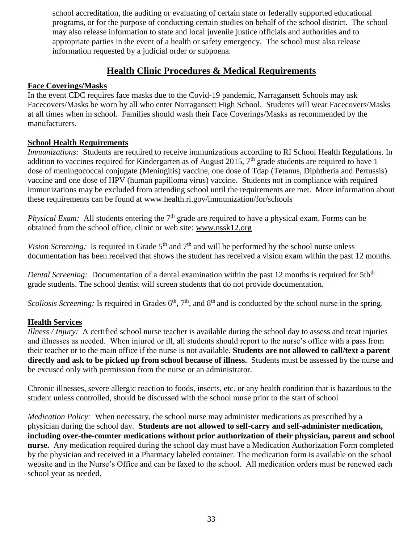school accreditation, the auditing or evaluating of certain state or federally supported educational programs, or for the purpose of conducting certain studies on behalf of the school district. The school may also release information to state and local juvenile justice officials and authorities and to appropriate parties in the event of a health or safety emergency. The school must also release information requested by a judicial order or subpoena.

# **Health Clinic Procedures & Medical Requirements**

# **Face Coverings/Masks**

In the event CDC requires face masks due to the Covid-19 pandemic, Narragansett Schools may ask Facecovers/Masks be worn by all who enter Narragansett High School. Students will wear Facecovers/Masks at all times when in school. Families should wash their Face Coverings/Masks as recommended by the manufacturers.

# **School Health Requirements**

*Immunizations:* Students are required to receive immunizations according to RI School Health Regulations. In addition to vaccines required for Kindergarten as of August 2015, 7<sup>th</sup> grade students are required to have 1 dose of meningococcal conjugate (Meningitis) vaccine, one dose of Tdap (Tetanus, Diphtheria and Pertussis) vaccine and one dose of HPV (human papilloma virus) vaccine. Students not in compliance with required immunizations may be excluded from attending school until the requirements are met. More information about these requirements can be found at [www.health.ri.gov/immunization/for/schools](http://www.health.ri.gov/immunization/for/schools)

*Physical Exam:* All students entering the 7<sup>th</sup> grade are required to have a physical exam. Forms can be obtained from the school office, clinic or web site: www.nssk12.org

*Vision Screening:* Is required in Grade  $5<sup>th</sup>$  and  $7<sup>th</sup>$  and will be performed by the school nurse unless documentation has been received that shows the student has received a vision exam within the past 12 months.

*Dental Screening:* Documentation of a dental examination within the past 12 months is required for 5th<sup>th</sup> grade students. The school dentist will screen students that do not provide documentation.

*Scoliosis Screening:* Is required in Grades 6<sup>th</sup>, 7<sup>th</sup>, and 8<sup>th</sup> and is conducted by the school nurse in the spring.

# **Health Services**

*Illness / Injury:* A certified school nurse teacher is available during the school day to assess and treat injuries and illnesses as needed. When injured or ill, all students should report to the nurse's office with a pass from their teacher or to the main office if the nurse is not available. **Students are not allowed to call/text a parent directly and ask to be picked up from school because of illness.** Students must be assessed by the nurse and be excused only with permission from the nurse or an administrator.

Chronic illnesses, severe allergic reaction to foods, insects, etc. or any health condition that is hazardous to the student unless controlled, should be discussed with the school nurse prior to the start of school

*Medication Policy:* When necessary, the school nurse may administer medications as prescribed by a physician during the school day. **Students are not allowed to self-carry and self-administer medication, including over-the-counter medications without prior authorization of their physician, parent and school nurse.** Any medication required during the school day must have a Medication Authorization Form completed by the physician and received in a Pharmacy labeled container. The medication form is available on the school website and in the Nurse's Office and can be faxed to the school. All medication orders must be renewed each school year as needed.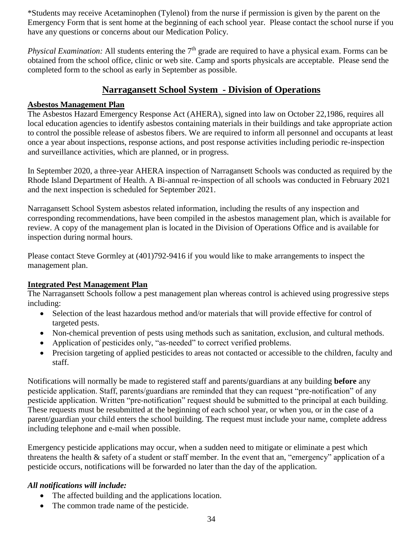\*Students may receive Acetaminophen (Tylenol) from the nurse if permission is given by the parent on the Emergency Form that is sent home at the beginning of each school year. Please contact the school nurse if you have any questions or concerns about our Medication Policy.

*Physical Examination:* All students entering the 7<sup>th</sup> grade are required to have a physical exam. Forms can be obtained from the school office, clinic or web site. Camp and sports physicals are acceptable. Please send the completed form to the school as early in September as possible.

# **Narragansett School System - Division of Operations**

# **Asbestos Management Plan**

The Asbestos Hazard Emergency Response Act (AHERA), signed into law on October 22,1986, requires all local education agencies to identify asbestos containing materials in their buildings and take appropriate action to control the possible release of asbestos fibers. We are required to inform all personnel and occupants at least once a year about inspections, response actions, and post response activities including periodic re-inspection and surveillance activities, which are planned, or in progress.

In September 2020, a three-year AHERA inspection of Narragansett Schools was conducted as required by the Rhode Island Department of Health. A Bi-annual re-inspection of all schools was conducted in February 2021 and the next inspection is scheduled for September 2021.

Narragansett School System asbestos related information, including the results of any inspection and corresponding recommendations, have been compiled in the asbestos management plan, which is available for review. A copy of the management plan is located in the Division of Operations Office and is available for inspection during normal hours.

Please contact Steve Gormley at (401)792-9416 if you would like to make arrangements to inspect the management plan.

### **Integrated Pest Management Plan**

The Narragansett Schools follow a pest management plan whereas control is achieved using progressive steps including:

- Selection of the least hazardous method and/or materials that will provide effective for control of targeted pests.
- Non-chemical prevention of pests using methods such as sanitation, exclusion, and cultural methods.
- Application of pesticides only, "as-needed" to correct verified problems.
- Precision targeting of applied pesticides to areas not contacted or accessible to the children, faculty and staff.

Notifications will normally be made to registered staff and parents/guardians at any building **before** any pesticide application. Staff, parents/guardians are reminded that they can request "pre-notification" of any pesticide application. Written "pre-notification" request should be submitted to the principal at each building. These requests must be resubmitted at the beginning of each school year, or when you, or in the case of a parent/guardian your child enters the school building. The request must include your name, complete address including telephone and e-mail when possible.

Emergency pesticide applications may occur, when a sudden need to mitigate or eliminate a pest which threatens the health & safety of a student or staff member. In the event that an, "emergency" application of a pesticide occurs, notifications will be forwarded no later than the day of the application.

# *All notifications will include:*

- The affected building and the applications location.
- The common trade name of the pesticide.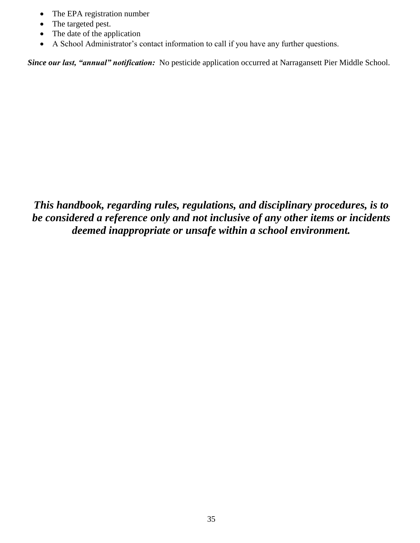- The EPA registration number
- The targeted pest.
- The date of the application
- A School Administrator's contact information to call if you have any further questions.

*Since our last, "annual" notification:* No pesticide application occurred at Narragansett Pier Middle School.

*This handbook, regarding rules, regulations, and disciplinary procedures, is to be considered a reference only and not inclusive of any other items or incidents deemed inappropriate or unsafe within a school environment.*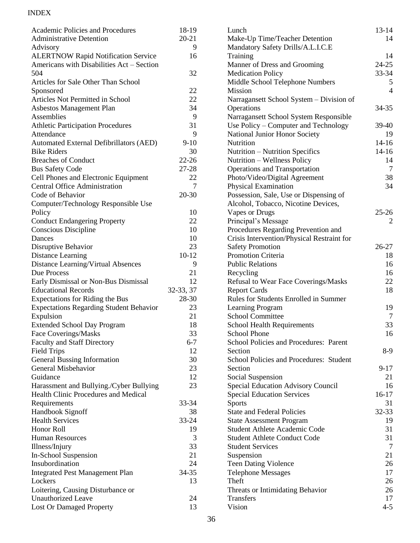# INDEX

| <b>Academic Policies and Procedures</b>                        | 18-19     | Li             |
|----------------------------------------------------------------|-----------|----------------|
| <b>Administrative Detention</b>                                | $20 - 21$ | M              |
| Advisory                                                       | 9         | M              |
| <b>ALERTNOW Rapid Notification Service</b>                     | 16        | Tı             |
| Americans with Disabilities Act - Section                      |           | M              |
| 504                                                            | 32        | M              |
| Articles for Sale Other Than School                            |           | M              |
| Sponsored                                                      | 22        | M              |
| Articles Not Permitted in School                               | 22        | N <sub>i</sub> |
| Asbestos Management Plan                                       | 34        | O <sub>1</sub> |
| Assemblies                                                     | 9         | N.             |
| <b>Athletic Participation Procedures</b>                       | 31        | U:             |
| Attendance                                                     | 9         | N:             |
| Automated External Defibrillators (AED)                        | $9-10$    | $N_1$          |
| <b>Bike Riders</b>                                             | 30        | $N_1$          |
| <b>Breaches of Conduct</b>                                     | 22-26     | $N_1$          |
| <b>Bus Safety Code</b>                                         | 27-28     | O <sub>1</sub> |
| Cell Phones and Electronic Equipment                           | 22        | P <sub>f</sub> |
| <b>Central Office Administration</b>                           | 7         | Pł             |
| Code of Behavior                                               | 20-30     | P <sub>C</sub> |
| Computer/Technology Responsible Use                            |           | $\mathbf{A}$   |
| Policy                                                         | 10        | $V_i$          |
| <b>Conduct Endangering Property</b>                            | 22        | Pr             |
| Conscious Discipline                                           | 10        | Pr             |
| Dances                                                         | 10        | C <sub>1</sub> |
| Disruptive Behavior                                            | 23        | Sa             |
| Distance Learning                                              | $10 - 12$ | Pr             |
| Distance Learning/Virtual Absences                             | 9         | P <sub>l</sub> |
| Due Process                                                    | 21        | $R_0$          |
| Early Dismissal or Non-Bus Dismissal                           | 12        | R <sub>6</sub> |
| <b>Educational Records</b>                                     | 32-33, 37 | R <sub>6</sub> |
| <b>Expectations for Riding the Bus</b>                         | 28-30     | $R_1$          |
| <b>Expectations Regarding Student Behavior</b>                 | 23        | L              |
| Expulsion                                                      | 21        | Sc             |
| <b>Extended School Day Program</b>                             | 18        | Sc             |
| Face Coverings/Masks                                           | 33        | Sc             |
| <b>Faculty and Staff Directory</b>                             | $6 - 7$   | Sc             |
| <b>Field Trips</b>                                             | 12        | Se             |
| General Bussing Information                                    | 30        | Sc             |
| General Misbehavior                                            | 23        | Se             |
| Guidance                                                       | 12        | Sc             |
| Harassment and Bullying./Cyber Bullying                        | 23        | Sp             |
| Health Clinic Procedures and Medical                           |           | Sp             |
| Requirements                                                   | 33-34     | Sp             |
| Handbook Signoff                                               | 38        | St             |
| <b>Health Services</b>                                         | 33-24     | St             |
| Honor Roll                                                     | 19        | St             |
| <b>Human Resources</b>                                         | 3         | St             |
| Illness/Injury                                                 | 33        | St             |
| In-School Suspension                                           | 21        | Su             |
| Insubordination                                                | 24        | $T\epsilon$    |
| <b>Integrated Pest Management Plan</b>                         | 34-35     | Tε             |
| Lockers                                                        | 13        | Tł             |
|                                                                |           | Tł             |
| Loitering, Causing Disturbance or<br><b>Unauthorized Leave</b> | 24        | Tı             |
|                                                                | 13        | Vi             |
| Lost Or Damaged Property                                       |           |                |

| Lunch                                         | $13 - 14$                |
|-----------------------------------------------|--------------------------|
| Make-Up Time/Teacher Detention                | 14                       |
| Mandatory Safety Drills/A.L.I.C.E             |                          |
| Training                                      | 14                       |
| Manner of Dress and Grooming                  | $24-25$                  |
| <b>Medication Policy</b>                      | 33-34                    |
| Middle School Telephone Numbers               | 5                        |
| <b>Mission</b>                                | $\overline{\mathcal{L}}$ |
| Narragansett School System - Division of      |                          |
| Operations                                    | 34-35                    |
| Narragansett School System Responsible        |                          |
| Use Policy - Computer and Technology          | 39-40                    |
| National Junior Honor Society                 | 19                       |
| Nutrition                                     | $14 - 16$                |
|                                               | $14-16$                  |
| Nutrition - Nutrition Specifics               | 14                       |
| Nutrition - Wellness Policy                   | 7                        |
| <b>Operations and Transportation</b>          |                          |
| Photo/Video/Digital Agreement                 | 38                       |
| <b>Physical Examination</b>                   | 34                       |
| Possession, Sale, Use or Dispensing of        |                          |
| Alcohol, Tobacco, Nicotine Devices,           |                          |
| Vapes or Drugs                                | $25 - 26$                |
| Principal's Message                           | 2                        |
| Procedures Regarding Prevention and           |                          |
| Crisis Intervention/Physical Restraint for    |                          |
| <b>Safety Promotion</b>                       | 26-27                    |
| <b>Promotion Criteria</b>                     | 18                       |
| <b>Public Relations</b>                       | 16                       |
| Recycling                                     | 16                       |
| Refusal to Wear Face Coverings/Masks          | 22                       |
| <b>Report Cards</b>                           | 18                       |
| Rules for Students Enrolled in Summer         |                          |
| Learning Program                              | 19                       |
| <b>School Committee</b>                       | 7                        |
| <b>School Health Requirements</b>             | 33                       |
| <b>School Phone</b>                           | 16                       |
| <b>School Policies and Procedures: Parent</b> |                          |
| Section                                       | 8-9                      |
| School Policies and Procedures: Student       |                          |
| Section                                       | $9 - 17$                 |
| Social Suspension                             | 21                       |
| <b>Special Education Advisory Council</b>     | 16                       |
| <b>Special Education Services</b>             | $16-17$                  |
| <b>Sports</b>                                 | 31                       |
| <b>State and Federal Policies</b>             | 32-33                    |
| <b>State Assessment Program</b>               | 19                       |
| <b>Student Athlete Academic Code</b>          | 31                       |
| <b>Student Athlete Conduct Code</b>           | 31                       |
| <b>Student Services</b>                       | 7                        |
| Suspension                                    | 21                       |
| <b>Teen Dating Violence</b>                   | 26                       |
| <b>Telephone Messages</b>                     | 17                       |
| Theft                                         | 26                       |
| Threats or Intimidating Behavior              | 26                       |
| Transfers                                     | 17                       |
| Vision                                        | $4 - 5$                  |
|                                               |                          |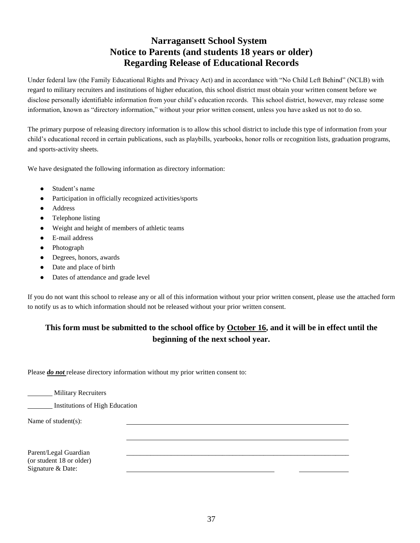# **Narragansett School System Notice to Parents (and students 18 years or older) Regarding Release of Educational Records**

Under federal law (the Family Educational Rights and Privacy Act) and in accordance with "No Child Left Behind" (NCLB) with regard to military recruiters and institutions of higher education, this school district must obtain your written consent before we disclose personally identifiable information from your child's education records. This school district, however, may release some information, known as "directory information," without your prior written consent, unless you have asked us not to do so.

The primary purpose of releasing directory information is to allow this school district to include this type of information from your child's educational record in certain publications, such as playbills, yearbooks, honor rolls or recognition lists, graduation programs, and sports-activity sheets.

We have designated the following information as directory information:

- Student's name
- Participation in officially recognized activities/sports
- Address
- Telephone listing
- Weight and height of members of athletic teams
- E-mail address
- Photograph
- Degrees, honors, awards
- Date and place of birth
- Dates of attendance and grade level

If you do not want this school to release any or all of this information without your prior written consent, please use the attached form to notify us as to which information should not be released without your prior written consent.

# **This form must be submitted to the school office by October 16, and it will be in effect until the beginning of the next school year.**

Please *do not* release directory information without my prior written consent to:

**Military Recruiters** 

Institutions of High Education

Name of student(s):

Parent/Legal Guardian (or student 18 or older) Signature & Date: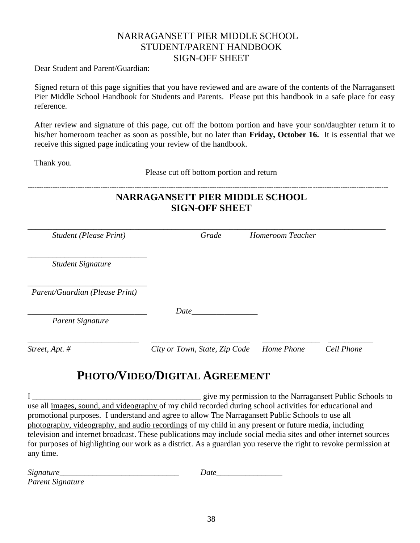# NARRAGANSETT PIER MIDDLE SCHOOL STUDENT/PARENT HANDBOOK SIGN-OFF SHEET

Dear Student and Parent/Guardian:

Signed return of this page signifies that you have reviewed and are aware of the contents of the Narragansett Pier Middle School Handbook for Students and Parents. Please put this handbook in a safe place for easy reference.

After review and signature of this page, cut off the bottom portion and have your son/daughter return it to his/her homeroom teacher as soon as possible, but no later than **Friday, October 16.** It is essential that we receive this signed page indicating your review of the handbook.

Thank you.

Please cut off bottom portion and return

| <b>NARRAGANSETT PIER MIDDLE SCHOOL</b><br><b>SIGN-OFF SHEET</b> |                               |  |                  |            |  |
|-----------------------------------------------------------------|-------------------------------|--|------------------|------------|--|
| <b>Student (Please Print)</b>                                   | Grade                         |  | Homeroom Teacher |            |  |
| <b>Student Signature</b>                                        |                               |  |                  |            |  |
| Parent/Guardian (Please Print)                                  |                               |  |                  |            |  |
| <b>Parent Signature</b>                                         | Date                          |  |                  |            |  |
| Street, Apt. #                                                  | City or Town, State, Zip Code |  | Home Phone       | Cell Phone |  |

# **PHOTO/VIDEO/DIGITAL AGREEMENT**

I \_\_\_\_\_\_\_\_\_\_\_\_\_\_\_\_\_\_\_\_\_\_\_\_\_\_\_\_\_\_\_\_\_\_\_\_\_\_\_\_\_ give my permission to the Narragansett Public Schools to use all images, sound, and videography of my child recorded during school activities for educational and promotional purposes. I understand and agree to allow The Narragansett Public Schools to use all photography, videography, and audio recordings of my child in any present or future media, including television and internet broadcast. These publications may include social media sites and other internet sources for purposes of highlighting our work as a district. As a guardian you reserve the right to revoke permission at any time.

| $\sim$<br>$\mathbf{u}$<br>51 g<br>. |  |
|-------------------------------------|--|
|-------------------------------------|--|

*Parent Signature*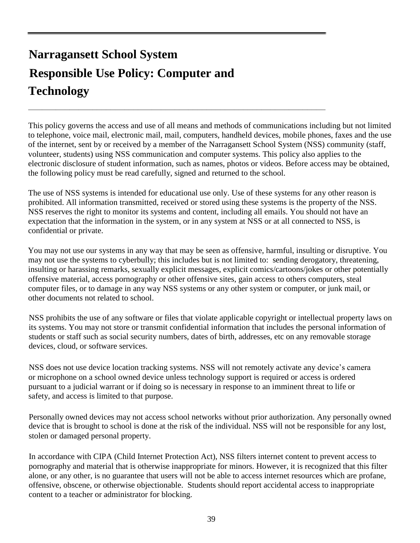# **Narragansett School System Responsible Use Policy: Computer and Technology**

This policy governs the access and use of all means and methods of communications including but not limited to telephone, voice mail, electronic mail, mail, computers, handheld devices, mobile phones, faxes and the use of the internet, sent by or received by a member of the Narragansett School System (NSS) community (staff, volunteer, students) using NSS communication and computer systems. This policy also applies to the electronic disclosure of student information, such as names, photos or videos. Before access may be obtained, the following policy must be read carefully, signed and returned to the school.

**\_\_\_\_\_\_\_\_\_\_\_\_\_\_\_\_\_\_\_\_\_\_\_\_\_\_\_\_\_\_\_\_\_\_\_\_\_\_\_\_\_\_\_\_\_\_\_\_\_\_\_\_\_\_\_\_\_\_\_\_\_\_\_\_\_**

The use of NSS systems is intended for educational use only. Use of these systems for any other reason is prohibited. All information transmitted, received or stored using these systems is the property of the NSS. NSS reserves the right to monitor its systems and content, including all emails. You should not have an expectation that the information in the system, or in any system at NSS or at all connected to NSS, is confidential or private.

You may not use our systems in any way that may be seen as offensive, harmful, insulting or disruptive. You may not use the systems to cyberbully; this includes but is not limited to: sending derogatory, threatening, insulting or harassing remarks, sexually explicit messages, explicit comics/cartoons/jokes or other potentially offensive material, access pornography or other offensive sites, gain access to others computers, steal computer files, or to damage in any way NSS systems or any other system or computer, or junk mail, or other documents not related to school.

NSS prohibits the use of any software or files that violate applicable copyright or intellectual property laws on its systems. You may not store or transmit confidential information that includes the personal information of students or staff such as social security numbers, dates of birth, addresses, etc on any removable storage devices, cloud, or software services.

NSS does not use device location tracking systems. NSS will not remotely activate any device's camera or microphone on a school owned device unless technology support is required or access is ordered pursuant to a judicial warrant or if doing so is necessary in response to an imminent threat to life or safety, and access is limited to that purpose.

Personally owned devices may not access school networks without prior authorization. Any personally owned device that is brought to school is done at the risk of the individual. NSS will not be responsible for any lost, stolen or damaged personal property.

In accordance with CIPA (Child Internet Protection Act), NSS filters internet content to prevent access to pornography and material that is otherwise inappropriate for minors. However, it is recognized that this filter alone, or any other, is no guarantee that users will not be able to access internet resources which are profane, offensive, obscene, or otherwise objectionable. Students should report accidental access to inappropriate content to a teacher or administrator for blocking.